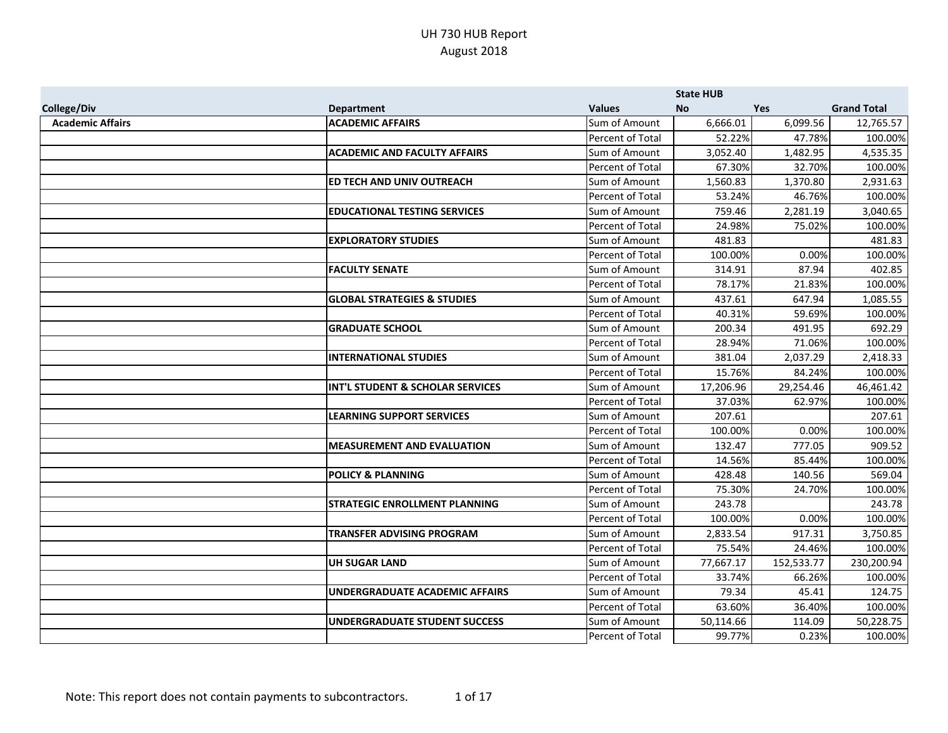|                         |                                        |                  | <b>State HUB</b> |            |                    |
|-------------------------|----------------------------------------|------------------|------------------|------------|--------------------|
| <b>College/Div</b>      | <b>Department</b>                      | <b>Values</b>    | <b>No</b>        | <b>Yes</b> | <b>Grand Total</b> |
| <b>Academic Affairs</b> | <b>ACADEMIC AFFAIRS</b>                | Sum of Amount    | 6,666.01         | 6,099.56   | 12,765.57          |
|                         |                                        | Percent of Total | 52.22%           | 47.78%     | 100.00%            |
|                         | <b>ACADEMIC AND FACULTY AFFAIRS</b>    | Sum of Amount    | 3,052.40         | 1,482.95   | 4,535.35           |
|                         |                                        | Percent of Total | 67.30%           | 32.70%     | 100.00%            |
|                         | ED TECH AND UNIV OUTREACH              | Sum of Amount    | 1,560.83         | 1,370.80   | 2,931.63           |
|                         |                                        | Percent of Total | 53.24%           | 46.76%     | 100.00%            |
|                         | <b>EDUCATIONAL TESTING SERVICES</b>    | Sum of Amount    | 759.46           | 2,281.19   | 3,040.65           |
|                         |                                        | Percent of Total | 24.98%           | 75.02%     | 100.00%            |
|                         | <b>EXPLORATORY STUDIES</b>             | Sum of Amount    | 481.83           |            | 481.83             |
|                         |                                        | Percent of Total | 100.00%          | 0.00%      | 100.00%            |
|                         | <b>FACULTY SENATE</b>                  | Sum of Amount    | 314.91           | 87.94      | 402.85             |
|                         |                                        | Percent of Total | 78.17%           | 21.83%     | 100.00%            |
|                         | <b>GLOBAL STRATEGIES &amp; STUDIES</b> | Sum of Amount    | 437.61           | 647.94     | 1,085.55           |
|                         |                                        | Percent of Total | 40.31%           | 59.69%     | 100.00%            |
|                         | <b>GRADUATE SCHOOL</b>                 | Sum of Amount    | 200.34           | 491.95     | 692.29             |
|                         |                                        | Percent of Total | 28.94%           | 71.06%     | 100.00%            |
|                         | <b>INTERNATIONAL STUDIES</b>           | Sum of Amount    | 381.04           | 2,037.29   | 2,418.33           |
|                         |                                        | Percent of Total | 15.76%           | 84.24%     | 100.00%            |
|                         | INT'L STUDENT & SCHOLAR SERVICES       | Sum of Amount    | 17,206.96        | 29,254.46  | 46,461.42          |
|                         |                                        | Percent of Total | 37.03%           | 62.97%     | 100.00%            |
|                         | <b>LEARNING SUPPORT SERVICES</b>       | Sum of Amount    | 207.61           |            | 207.61             |
|                         |                                        | Percent of Total | 100.00%          | 0.00%      | 100.00%            |
|                         | <b>MEASUREMENT AND EVALUATION</b>      | Sum of Amount    | 132.47           | 777.05     | 909.52             |
|                         |                                        | Percent of Total | 14.56%           | 85.44%     | 100.00%            |
|                         | <b>POLICY &amp; PLANNING</b>           | Sum of Amount    | 428.48           | 140.56     | 569.04             |
|                         |                                        | Percent of Total | 75.30%           | 24.70%     | 100.00%            |
|                         | <b>STRATEGIC ENROLLMENT PLANNING</b>   | Sum of Amount    | 243.78           |            | 243.78             |
|                         |                                        | Percent of Total | 100.00%          | 0.00%      | 100.00%            |
|                         | <b>TRANSFER ADVISING PROGRAM</b>       | Sum of Amount    | 2,833.54         | 917.31     | 3,750.85           |
|                         |                                        | Percent of Total | 75.54%           | 24.46%     | 100.00%            |
|                         | <b>UH SUGAR LAND</b>                   | Sum of Amount    | 77,667.17        | 152,533.77 | 230,200.94         |
|                         |                                        | Percent of Total | 33.74%           | 66.26%     | 100.00%            |
|                         | <b>UNDERGRADUATE ACADEMIC AFFAIRS</b>  | Sum of Amount    | 79.34            | 45.41      | 124.75             |
|                         |                                        | Percent of Total | 63.60%           | 36.40%     | 100.00%            |
|                         | <b>UNDERGRADUATE STUDENT SUCCESS</b>   | Sum of Amount    | 50,114.66        | 114.09     | 50,228.75          |
|                         |                                        | Percent of Total | 99.77%           | 0.23%      | 100.00%            |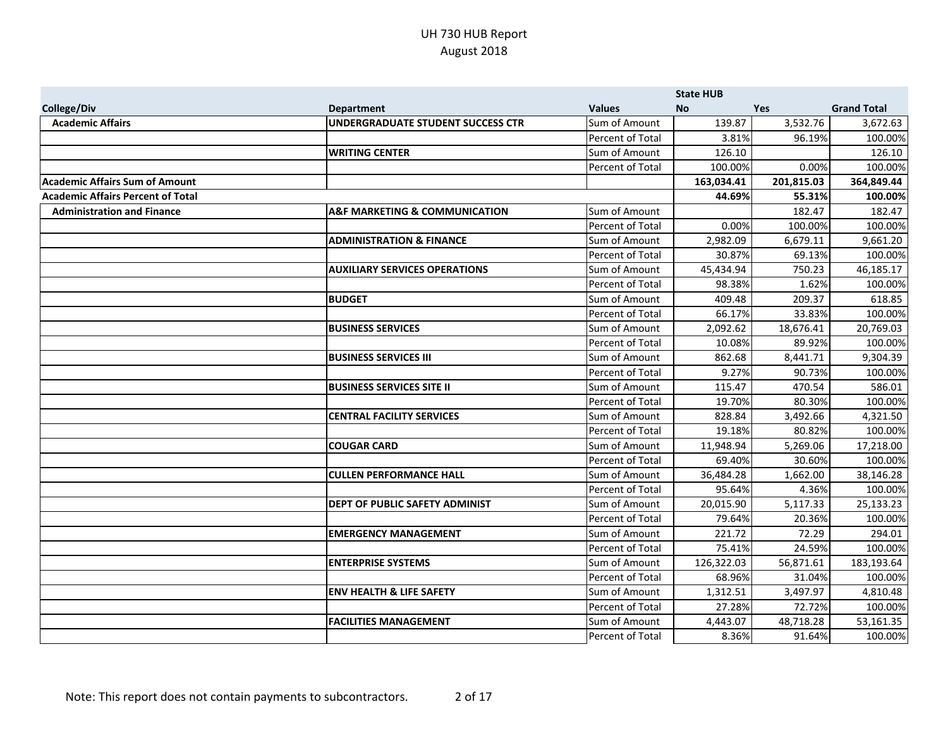|                                          |                                              |                  | <b>State HUB</b> |            |                    |
|------------------------------------------|----------------------------------------------|------------------|------------------|------------|--------------------|
| <b>College/Div</b>                       | <b>Department</b>                            | <b>Values</b>    | <b>No</b>        | Yes        | <b>Grand Total</b> |
| <b>Academic Affairs</b>                  | UNDERGRADUATE STUDENT SUCCESS CTR            | Sum of Amount    | 139.87           | 3,532.76   | 3,672.63           |
|                                          |                                              | Percent of Total | 3.81%            | 96.19%     | 100.00%            |
|                                          | <b>WRITING CENTER</b>                        | Sum of Amount    | 126.10           |            | 126.10             |
|                                          |                                              | Percent of Total | 100.00%          | 0.00%      | 100.00%            |
| <b>Academic Affairs Sum of Amount</b>    |                                              |                  | 163,034.41       | 201,815.03 | 364,849.44         |
| <b>Academic Affairs Percent of Total</b> |                                              |                  | 44.69%           | 55.31%     | 100.00%            |
| <b>Administration and Finance</b>        | <b>A&amp;F MARKETING &amp; COMMUNICATION</b> | Sum of Amount    |                  | 182.47     | 182.47             |
|                                          |                                              | Percent of Total | 0.00%            | 100.00%    | 100.00%            |
|                                          | <b>ADMINISTRATION &amp; FINANCE</b>          | Sum of Amount    | 2,982.09         | 6,679.11   | 9,661.20           |
|                                          |                                              | Percent of Total | 30.87%           | 69.13%     | 100.00%            |
|                                          | <b>AUXILIARY SERVICES OPERATIONS</b>         | Sum of Amount    | 45,434.94        | 750.23     | 46,185.17          |
|                                          |                                              | Percent of Total | 98.38%           | 1.62%      | 100.00%            |
|                                          | <b>BUDGET</b>                                | Sum of Amount    | 409.48           | 209.37     | 618.85             |
|                                          |                                              | Percent of Total | 66.17%           | 33.83%     | 100.00%            |
|                                          | <b>BUSINESS SERVICES</b>                     | Sum of Amount    | 2,092.62         | 18,676.41  | 20,769.03          |
|                                          |                                              | Percent of Total | 10.08%           | 89.92%     | 100.00%            |
|                                          | <b>BUSINESS SERVICES III</b>                 | Sum of Amount    | 862.68           | 8,441.71   | 9,304.39           |
|                                          |                                              | Percent of Total | 9.27%            | 90.73%     | 100.00%            |
|                                          | <b>BUSINESS SERVICES SITE II</b>             | Sum of Amount    | 115.47           | 470.54     | 586.01             |
|                                          |                                              | Percent of Total | 19.70%           | 80.30%     | 100.00%            |
|                                          | <b>CENTRAL FACILITY SERVICES</b>             | Sum of Amount    | 828.84           | 3,492.66   | 4,321.50           |
|                                          |                                              | Percent of Total | 19.18%           | 80.82%     | 100.00%            |
|                                          | <b>COUGAR CARD</b>                           | Sum of Amount    | 11,948.94        | 5,269.06   | 17,218.00          |
|                                          |                                              | Percent of Total | 69.40%           | 30.60%     | 100.00%            |
|                                          | <b>CULLEN PERFORMANCE HALL</b>               | Sum of Amount    | 36,484.28        | 1,662.00   | 38,146.28          |
|                                          |                                              | Percent of Total | 95.64%           | 4.36%      | 100.00%            |
|                                          | DEPT OF PUBLIC SAFETY ADMINIST               | Sum of Amount    | 20,015.90        | 5,117.33   | 25,133.23          |
|                                          |                                              | Percent of Total | 79.64%           | 20.36%     | 100.00%            |
|                                          | <b>EMERGENCY MANAGEMENT</b>                  | Sum of Amount    | 221.72           | 72.29      | 294.01             |
|                                          |                                              | Percent of Total | 75.41%           | 24.59%     | 100.00%            |
|                                          | <b>ENTERPRISE SYSTEMS</b>                    | Sum of Amount    | 126,322.03       | 56,871.61  | 183,193.64         |
|                                          |                                              | Percent of Total | 68.96%           | 31.04%     | 100.00%            |
|                                          | <b>ENV HEALTH &amp; LIFE SAFETY</b>          | Sum of Amount    | 1,312.51         | 3,497.97   | 4,810.48           |
|                                          |                                              | Percent of Total | 27.28%           | 72.72%     | 100.00%            |
|                                          | <b>FACILITIES MANAGEMENT</b>                 | Sum of Amount    | 4,443.07         | 48,718.28  | 53,161.35          |
|                                          |                                              | Percent of Total | 8.36%            | 91.64%     | 100.00%            |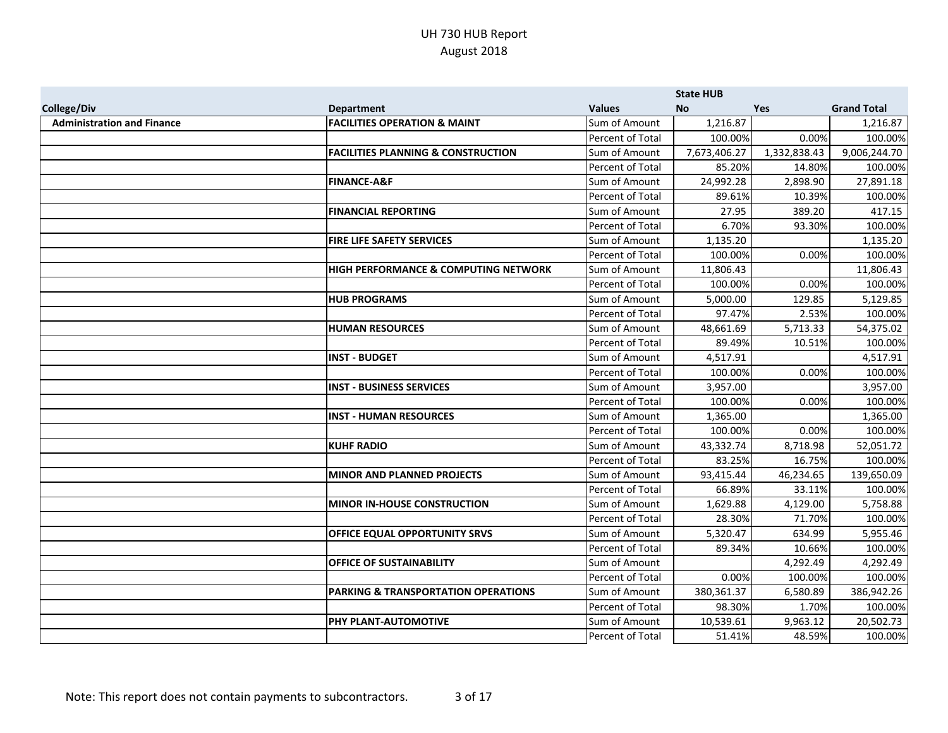|                                   |                                                 |                  | <b>State HUB</b> |              |                    |
|-----------------------------------|-------------------------------------------------|------------------|------------------|--------------|--------------------|
| <b>College/Div</b>                | <b>Department</b>                               | <b>Values</b>    | No               | Yes          | <b>Grand Total</b> |
| <b>Administration and Finance</b> | <b>FACILITIES OPERATION &amp; MAINT</b>         | Sum of Amount    | 1,216.87         |              | 1,216.87           |
|                                   |                                                 | Percent of Total | 100.00%          | 0.00%        | 100.00%            |
|                                   | <b>FACILITIES PLANNING &amp; CONSTRUCTION</b>   | Sum of Amount    | 7,673,406.27     | 1,332,838.43 | 9,006,244.70       |
|                                   |                                                 | Percent of Total | 85.20%           | 14.80%       | 100.00%            |
|                                   | <b>FINANCE-A&amp;F</b>                          | Sum of Amount    | 24,992.28        | 2,898.90     | 27,891.18          |
|                                   |                                                 | Percent of Total | 89.61%           | 10.39%       | 100.00%            |
|                                   | <b>FINANCIAL REPORTING</b>                      | Sum of Amount    | 27.95            | 389.20       | 417.15             |
|                                   |                                                 | Percent of Total | 6.70%            | 93.30%       | 100.00%            |
|                                   | FIRE LIFE SAFETY SERVICES                       | Sum of Amount    | 1,135.20         |              | 1,135.20           |
|                                   |                                                 | Percent of Total | 100.00%          | 0.00%        | 100.00%            |
|                                   | <b>HIGH PERFORMANCE &amp; COMPUTING NETWORK</b> | Sum of Amount    | 11,806.43        |              | 11,806.43          |
|                                   |                                                 | Percent of Total | 100.00%          | 0.00%        | 100.00%            |
|                                   | <b>HUB PROGRAMS</b>                             | Sum of Amount    | 5,000.00         | 129.85       | 5,129.85           |
|                                   |                                                 | Percent of Total | 97.47%           | 2.53%        | 100.00%            |
|                                   | <b>HUMAN RESOURCES</b>                          | Sum of Amount    | 48,661.69        | 5,713.33     | 54,375.02          |
|                                   |                                                 | Percent of Total | 89.49%           | 10.51%       | 100.00%            |
|                                   | <b>INST - BUDGET</b>                            | Sum of Amount    | 4,517.91         |              | 4,517.91           |
|                                   |                                                 | Percent of Total | 100.00%          | 0.00%        | 100.00%            |
|                                   | <b>INST - BUSINESS SERVICES</b>                 | Sum of Amount    | 3,957.00         |              | 3,957.00           |
|                                   |                                                 | Percent of Total | 100.00%          | 0.00%        | 100.00%            |
|                                   | <b>INST - HUMAN RESOURCES</b>                   | Sum of Amount    | 1,365.00         |              | 1,365.00           |
|                                   |                                                 | Percent of Total | 100.00%          | 0.00%        | 100.00%            |
|                                   | <b>KUHF RADIO</b>                               | Sum of Amount    | 43,332.74        | 8,718.98     | 52,051.72          |
|                                   |                                                 | Percent of Total | 83.25%           | 16.75%       | 100.00%            |
|                                   | <b>MINOR AND PLANNED PROJECTS</b>               | Sum of Amount    | 93,415.44        | 46,234.65    | 139,650.09         |
|                                   |                                                 | Percent of Total | 66.89%           | 33.11%       | 100.00%            |
|                                   | <b>MINOR IN-HOUSE CONSTRUCTION</b>              | Sum of Amount    | 1,629.88         | 4,129.00     | 5,758.88           |
|                                   |                                                 | Percent of Total | 28.30%           | 71.70%       | 100.00%            |
|                                   | <b>OFFICE EQUAL OPPORTUNITY SRVS</b>            | Sum of Amount    | 5,320.47         | 634.99       | 5,955.46           |
|                                   |                                                 | Percent of Total | 89.34%           | 10.66%       | 100.00%            |
|                                   | <b>OFFICE OF SUSTAINABILITY</b>                 | Sum of Amount    |                  | 4,292.49     | 4,292.49           |
|                                   |                                                 | Percent of Total | 0.00%            | 100.00%      | 100.00%            |
|                                   | PARKING & TRANSPORTATION OPERATIONS             | Sum of Amount    | 380,361.37       | 6,580.89     | 386,942.26         |
|                                   |                                                 | Percent of Total | 98.30%           | 1.70%        | 100.00%            |
|                                   | PHY PLANT-AUTOMOTIVE                            | Sum of Amount    | 10,539.61        | 9,963.12     | 20,502.73          |
|                                   |                                                 | Percent of Total | 51.41%           | 48.59%       | 100.00%            |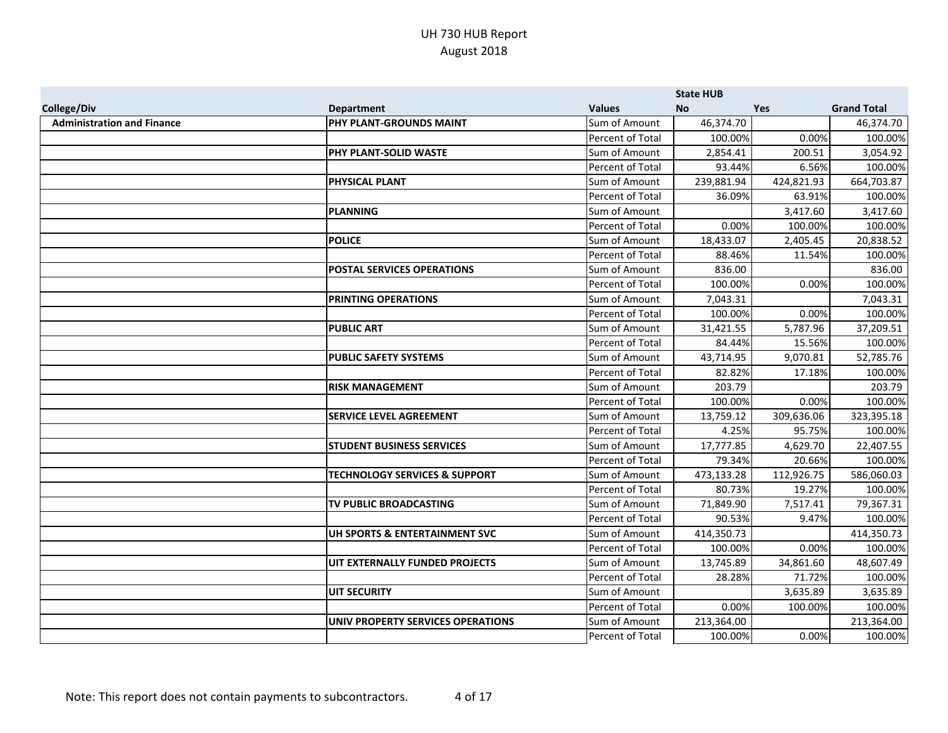|                                   |                                          |                  | <b>State HUB</b> |            |                    |
|-----------------------------------|------------------------------------------|------------------|------------------|------------|--------------------|
| <b>College/Div</b>                | <b>Department</b>                        | <b>Values</b>    | <b>No</b>        | Yes        | <b>Grand Total</b> |
| <b>Administration and Finance</b> | PHY PLANT-GROUNDS MAINT                  | Sum of Amount    | 46,374.70        |            | 46,374.70          |
|                                   |                                          | Percent of Total | 100.00%          | 0.00%      | 100.00%            |
|                                   | PHY PLANT-SOLID WASTE                    | Sum of Amount    | 2,854.41         | 200.51     | 3,054.92           |
|                                   |                                          | Percent of Total | 93.44%           | 6.56%      | 100.00%            |
|                                   | <b>PHYSICAL PLANT</b>                    | Sum of Amount    | 239,881.94       | 424,821.93 | 664,703.87         |
|                                   |                                          | Percent of Total | 36.09%           | 63.91%     | 100.00%            |
|                                   | <b>PLANNING</b>                          | Sum of Amount    |                  | 3,417.60   | 3,417.60           |
|                                   |                                          | Percent of Total | 0.00%            | 100.00%    | 100.00%            |
|                                   | <b>POLICE</b>                            | Sum of Amount    | 18,433.07        | 2,405.45   | 20,838.52          |
|                                   |                                          | Percent of Total | 88.46%           | 11.54%     | 100.00%            |
|                                   | POSTAL SERVICES OPERATIONS               | Sum of Amount    | 836.00           |            | 836.00             |
|                                   |                                          | Percent of Total | 100.00%          | 0.00%      | 100.00%            |
|                                   | <b>PRINTING OPERATIONS</b>               | Sum of Amount    | 7,043.31         |            | 7,043.31           |
|                                   |                                          | Percent of Total | 100.00%          | 0.00%      | 100.00%            |
|                                   | <b>PUBLIC ART</b>                        | Sum of Amount    | 31,421.55        | 5,787.96   | 37,209.51          |
|                                   |                                          | Percent of Total | 84.44%           | 15.56%     | 100.00%            |
|                                   | <b>PUBLIC SAFETY SYSTEMS</b>             | Sum of Amount    | 43,714.95        | 9,070.81   | 52,785.76          |
|                                   |                                          | Percent of Total | 82.82%           | 17.18%     | 100.00%            |
|                                   | <b>RISK MANAGEMENT</b>                   | Sum of Amount    | 203.79           |            | 203.79             |
|                                   |                                          | Percent of Total | 100.00%          | 0.00%      | 100.00%            |
|                                   | <b>SERVICE LEVEL AGREEMENT</b>           | Sum of Amount    | 13,759.12        | 309,636.06 | 323,395.18         |
|                                   |                                          | Percent of Total | 4.25%            | 95.75%     | 100.00%            |
|                                   | <b>STUDENT BUSINESS SERVICES</b>         | Sum of Amount    | 17,777.85        | 4,629.70   | 22,407.55          |
|                                   |                                          | Percent of Total | 79.34%           | 20.66%     | 100.00%            |
|                                   | <b>TECHNOLOGY SERVICES &amp; SUPPORT</b> | Sum of Amount    | 473,133.28       | 112,926.75 | 586,060.03         |
|                                   |                                          | Percent of Total | 80.73%           | 19.27%     | 100.00%            |
|                                   | TV PUBLIC BROADCASTING                   | Sum of Amount    | 71,849.90        | 7,517.41   | 79,367.31          |
|                                   |                                          | Percent of Total | 90.53%           | 9.47%      | 100.00%            |
|                                   | UH SPORTS & ENTERTAINMENT SVC            | Sum of Amount    | 414,350.73       |            | 414,350.73         |
|                                   |                                          | Percent of Total | 100.00%          | 0.00%      | 100.00%            |
|                                   | UIT EXTERNALLY FUNDED PROJECTS           | Sum of Amount    | 13,745.89        | 34,861.60  | 48,607.49          |
|                                   |                                          | Percent of Total | 28.28%           | 71.72%     | 100.00%            |
|                                   | <b>UIT SECURITY</b>                      | Sum of Amount    |                  | 3,635.89   | 3,635.89           |
|                                   |                                          | Percent of Total | 0.00%            | 100.00%    | 100.00%            |
|                                   | UNIV PROPERTY SERVICES OPERATIONS        | Sum of Amount    | 213,364.00       |            | 213,364.00         |
|                                   |                                          | Percent of Total | 100.00%          | 0.00%      | 100.00%            |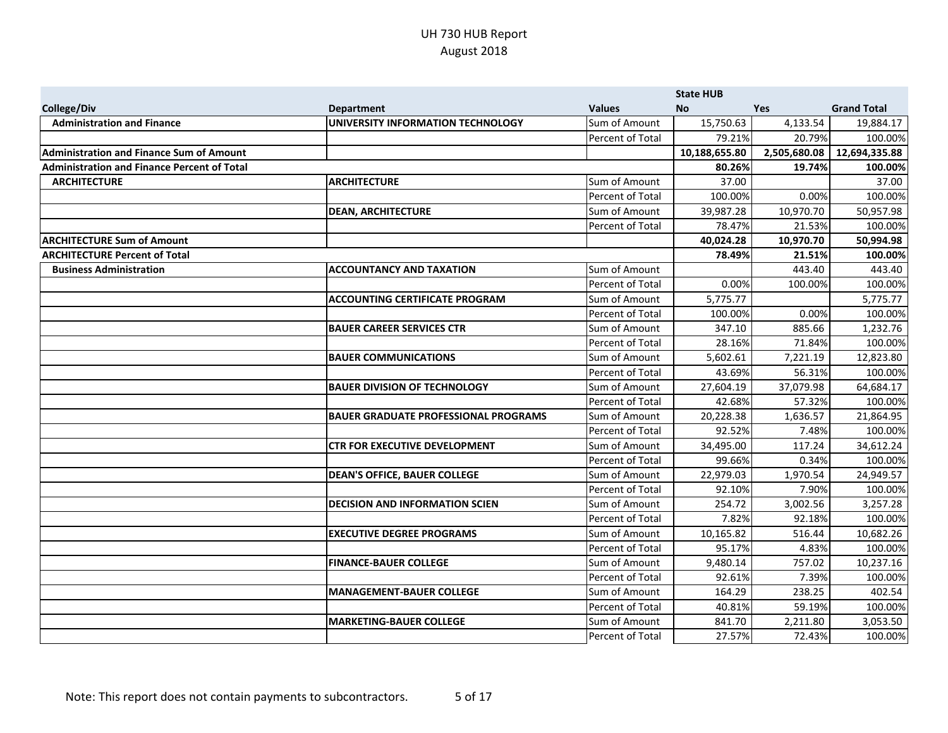|                                                    |                                             |                  | <b>State HUB</b> |              |                    |
|----------------------------------------------------|---------------------------------------------|------------------|------------------|--------------|--------------------|
| <b>College/Div</b>                                 | <b>Department</b>                           | <b>Values</b>    | <b>No</b>        | <b>Yes</b>   | <b>Grand Total</b> |
| <b>Administration and Finance</b>                  | UNIVERSITY INFORMATION TECHNOLOGY           | Sum of Amount    | 15,750.63        | 4,133.54     | 19,884.17          |
|                                                    |                                             | Percent of Total | 79.21%           | 20.79%       | 100.00%            |
| <b>Administration and Finance Sum of Amount</b>    |                                             |                  | 10,188,655.80    | 2,505,680.08 | 12,694,335.88      |
| <b>Administration and Finance Percent of Total</b> |                                             |                  | 80.26%           | 19.74%       | 100.00%            |
| <b>ARCHITECTURE</b>                                | <b>ARCHITECTURE</b>                         | Sum of Amount    | 37.00            |              | 37.00              |
|                                                    |                                             | Percent of Total | 100.00%          | 0.00%        | 100.00%            |
|                                                    | <b>DEAN, ARCHITECTURE</b>                   | Sum of Amount    | 39,987.28        | 10,970.70    | 50,957.98          |
|                                                    |                                             | Percent of Total | 78.47%           | 21.53%       | 100.00%            |
| <b>ARCHITECTURE Sum of Amount</b>                  |                                             |                  | 40,024.28        | 10,970.70    | 50,994.98          |
| <b>ARCHITECTURE Percent of Total</b>               |                                             |                  | 78.49%           | 21.51%       | 100.00%            |
| <b>Business Administration</b>                     | <b>ACCOUNTANCY AND TAXATION</b>             | Sum of Amount    |                  | 443.40       | 443.40             |
|                                                    |                                             | Percent of Total | 0.00%            | 100.00%      | 100.00%            |
|                                                    | <b>ACCOUNTING CERTIFICATE PROGRAM</b>       | Sum of Amount    | 5,775.77         |              | 5,775.77           |
|                                                    |                                             | Percent of Total | 100.00%          | 0.00%        | 100.00%            |
|                                                    | <b>BAUER CAREER SERVICES CTR</b>            | Sum of Amount    | 347.10           | 885.66       | 1,232.76           |
|                                                    |                                             | Percent of Total | 28.16%           | 71.84%       | 100.00%            |
|                                                    | <b>BAUER COMMUNICATIONS</b>                 | Sum of Amount    | 5,602.61         | 7,221.19     | 12,823.80          |
|                                                    |                                             | Percent of Total | 43.69%           | 56.31%       | 100.00%            |
|                                                    | <b>BAUER DIVISION OF TECHNOLOGY</b>         | Sum of Amount    | 27,604.19        | 37,079.98    | 64,684.17          |
|                                                    |                                             | Percent of Total | 42.68%           | 57.32%       | 100.00%            |
|                                                    | <b>BAUER GRADUATE PROFESSIONAL PROGRAMS</b> | Sum of Amount    | 20,228.38        | 1,636.57     | 21,864.95          |
|                                                    |                                             | Percent of Total | 92.52%           | 7.48%        | 100.00%            |
|                                                    | <b>CTR FOR EXECUTIVE DEVELOPMENT</b>        | Sum of Amount    | 34,495.00        | 117.24       | 34,612.24          |
|                                                    |                                             | Percent of Total | 99.66%           | 0.34%        | 100.00%            |
|                                                    | <b>DEAN'S OFFICE, BAUER COLLEGE</b>         | Sum of Amount    | 22,979.03        | 1,970.54     | 24,949.57          |
|                                                    |                                             | Percent of Total | 92.10%           | 7.90%        | 100.00%            |
|                                                    | <b>DECISION AND INFORMATION SCIEN</b>       | Sum of Amount    | 254.72           | 3,002.56     | 3,257.28           |
|                                                    |                                             | Percent of Total | 7.82%            | 92.18%       | 100.00%            |
|                                                    | <b>EXECUTIVE DEGREE PROGRAMS</b>            | Sum of Amount    | 10,165.82        | 516.44       | 10,682.26          |
|                                                    |                                             | Percent of Total | 95.17%           | 4.83%        | 100.00%            |
|                                                    | <b>FINANCE-BAUER COLLEGE</b>                | Sum of Amount    | 9,480.14         | 757.02       | 10,237.16          |
|                                                    |                                             | Percent of Total | 92.61%           | 7.39%        | 100.00%            |
|                                                    | <b>MANAGEMENT-BAUER COLLEGE</b>             | Sum of Amount    | 164.29           | 238.25       | 402.54             |
|                                                    |                                             | Percent of Total | 40.81%           | 59.19%       | 100.00%            |
|                                                    | <b>MARKETING-BAUER COLLEGE</b>              | Sum of Amount    | 841.70           | 2,211.80     | 3,053.50           |
|                                                    |                                             | Percent of Total | 27.57%           | 72.43%       | 100.00%            |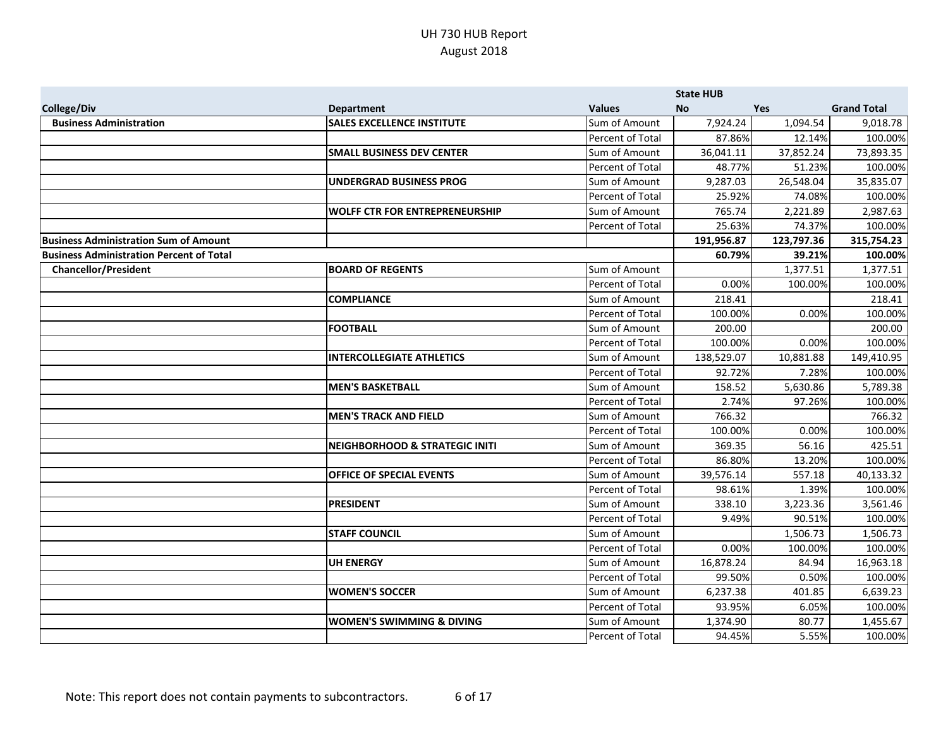|                                                 |                                           |                  | <b>State HUB</b> |            |                    |
|-------------------------------------------------|-------------------------------------------|------------------|------------------|------------|--------------------|
| <b>College/Div</b>                              | <b>Department</b>                         | <b>Values</b>    | <b>No</b>        | <b>Yes</b> | <b>Grand Total</b> |
| <b>Business Administration</b>                  | <b>SALES EXCELLENCE INSTITUTE</b>         | Sum of Amount    | 7,924.24         | 1,094.54   | 9,018.78           |
|                                                 |                                           | Percent of Total | 87.86%           | 12.14%     | 100.00%            |
|                                                 | <b>SMALL BUSINESS DEV CENTER</b>          | Sum of Amount    | 36,041.11        | 37,852.24  | 73,893.35          |
|                                                 |                                           | Percent of Total | 48.77%           | 51.23%     | 100.00%            |
|                                                 | <b>UNDERGRAD BUSINESS PROG</b>            | Sum of Amount    | 9,287.03         | 26,548.04  | 35,835.07          |
|                                                 |                                           | Percent of Total | 25.92%           | 74.08%     | 100.00%            |
|                                                 | <b>WOLFF CTR FOR ENTREPRENEURSHIP</b>     | Sum of Amount    | 765.74           | 2,221.89   | 2,987.63           |
|                                                 |                                           | Percent of Total | 25.63%           | 74.37%     | 100.00%            |
| <b>Business Administration Sum of Amount</b>    |                                           |                  | 191,956.87       | 123,797.36 | 315,754.23         |
| <b>Business Administration Percent of Total</b> |                                           |                  | 60.79%           | 39.21%     | 100.00%            |
| <b>Chancellor/President</b>                     | <b>BOARD OF REGENTS</b>                   | Sum of Amount    |                  | 1,377.51   | 1,377.51           |
|                                                 |                                           | Percent of Total | 0.00%            | 100.00%    | 100.00%            |
|                                                 | <b>COMPLIANCE</b>                         | Sum of Amount    | 218.41           |            | 218.41             |
|                                                 |                                           | Percent of Total | 100.00%          | 0.00%      | 100.00%            |
|                                                 | <b>FOOTBALL</b>                           | Sum of Amount    | 200.00           |            | 200.00             |
|                                                 |                                           | Percent of Total | 100.00%          | 0.00%      | 100.00%            |
|                                                 | <b>INTERCOLLEGIATE ATHLETICS</b>          | Sum of Amount    | 138,529.07       | 10,881.88  | 149,410.95         |
|                                                 |                                           | Percent of Total | 92.72%           | 7.28%      | 100.00%            |
|                                                 | <b>MEN'S BASKETBALL</b>                   | Sum of Amount    | 158.52           | 5,630.86   | 5,789.38           |
|                                                 |                                           | Percent of Total | 2.74%            | 97.26%     | 100.00%            |
|                                                 | <b>MEN'S TRACK AND FIELD</b>              | Sum of Amount    | 766.32           |            | 766.32             |
|                                                 |                                           | Percent of Total | 100.00%          | 0.00%      | 100.00%            |
|                                                 | <b>NEIGHBORHOOD &amp; STRATEGIC INITI</b> | Sum of Amount    | 369.35           | 56.16      | 425.51             |
|                                                 |                                           | Percent of Total | 86.80%           | 13.20%     | 100.00%            |
|                                                 | <b>OFFICE OF SPECIAL EVENTS</b>           | Sum of Amount    | 39,576.14        | 557.18     | 40,133.32          |
|                                                 |                                           | Percent of Total | 98.61%           | 1.39%      | 100.00%            |
|                                                 | <b>PRESIDENT</b>                          | Sum of Amount    | 338.10           | 3,223.36   | 3,561.46           |
|                                                 |                                           | Percent of Total | 9.49%            | 90.51%     | 100.00%            |
|                                                 | <b>STAFF COUNCIL</b>                      | Sum of Amount    |                  | 1,506.73   | 1,506.73           |
|                                                 |                                           | Percent of Total | 0.00%            | 100.00%    | 100.00%            |
|                                                 | <b>UH ENERGY</b>                          | Sum of Amount    | 16,878.24        | 84.94      | 16,963.18          |
|                                                 |                                           | Percent of Total | 99.50%           | 0.50%      | 100.00%            |
|                                                 | <b>WOMEN'S SOCCER</b>                     | Sum of Amount    | 6,237.38         | 401.85     | 6,639.23           |
|                                                 |                                           | Percent of Total | 93.95%           | 6.05%      | 100.00%            |
|                                                 | <b>WOMEN'S SWIMMING &amp; DIVING</b>      | Sum of Amount    | 1,374.90         | 80.77      | 1,455.67           |
|                                                 |                                           | Percent of Total | 94.45%           | 5.55%      | 100.00%            |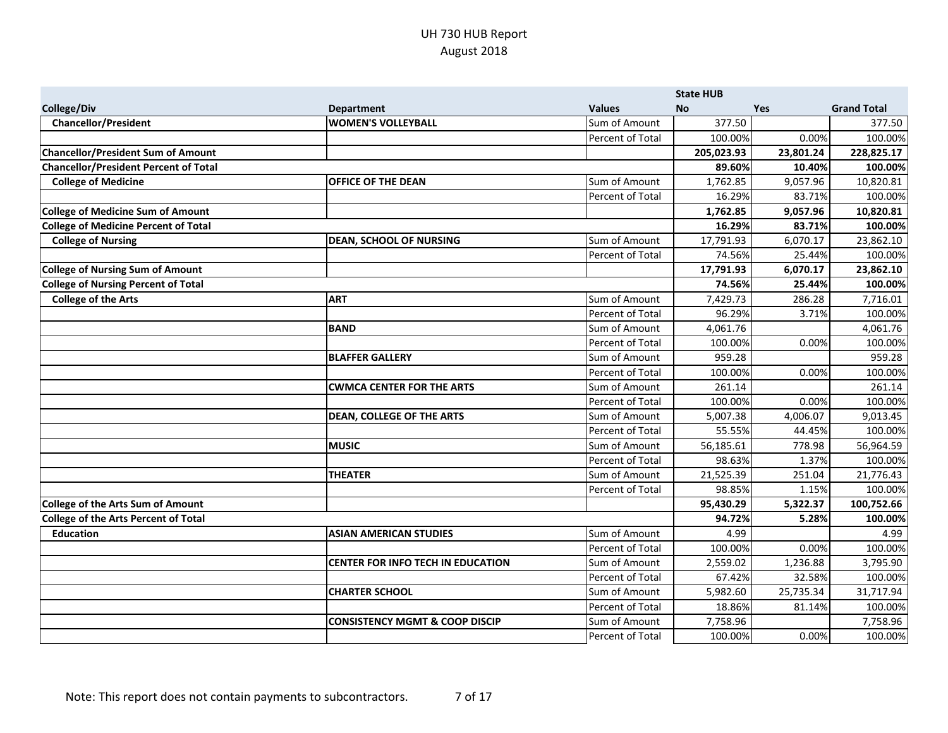|                                              |                                           |                  | <b>State HUB</b> |            |                    |
|----------------------------------------------|-------------------------------------------|------------------|------------------|------------|--------------------|
| <b>College/Div</b>                           | <b>Department</b>                         | <b>Values</b>    | <b>No</b>        | <b>Yes</b> | <b>Grand Total</b> |
| <b>Chancellor/President</b>                  | <b>WOMEN'S VOLLEYBALL</b>                 | Sum of Amount    | 377.50           |            | 377.50             |
|                                              |                                           | Percent of Total | 100.00%          | 0.00%      | 100.00%            |
| <b>Chancellor/President Sum of Amount</b>    |                                           |                  | 205,023.93       | 23,801.24  | 228,825.17         |
| <b>Chancellor/President Percent of Total</b> |                                           |                  | 89.60%           | 10.40%     | 100.00%            |
| <b>College of Medicine</b>                   | <b>OFFICE OF THE DEAN</b>                 | Sum of Amount    | 1,762.85         | 9,057.96   | 10,820.81          |
|                                              |                                           | Percent of Total | 16.29%           | 83.71%     | 100.00%            |
| <b>College of Medicine Sum of Amount</b>     |                                           |                  | 1,762.85         | 9,057.96   | 10,820.81          |
| <b>College of Medicine Percent of Total</b>  |                                           |                  | 16.29%           | 83.71%     | 100.00%            |
| <b>College of Nursing</b>                    | <b>DEAN, SCHOOL OF NURSING</b>            | Sum of Amount    | 17,791.93        | 6,070.17   | 23,862.10          |
|                                              |                                           | Percent of Total | 74.56%           | 25.44%     | 100.00%            |
| <b>College of Nursing Sum of Amount</b>      |                                           |                  | 17,791.93        | 6,070.17   | 23,862.10          |
| <b>College of Nursing Percent of Total</b>   |                                           |                  | 74.56%           | 25.44%     | 100.00%            |
| <b>College of the Arts</b>                   | <b>ART</b>                                | Sum of Amount    | 7,429.73         | 286.28     | 7,716.01           |
|                                              |                                           | Percent of Total | 96.29%           | 3.71%      | 100.00%            |
|                                              | <b>BAND</b>                               | Sum of Amount    | 4,061.76         |            | 4,061.76           |
|                                              |                                           | Percent of Total | 100.00%          | 0.00%      | 100.00%            |
|                                              | <b>BLAFFER GALLERY</b>                    | Sum of Amount    | 959.28           |            | 959.28             |
|                                              |                                           | Percent of Total | 100.00%          | 0.00%      | 100.00%            |
|                                              | <b>CWMCA CENTER FOR THE ARTS</b>          | Sum of Amount    | 261.14           |            | 261.14             |
|                                              |                                           | Percent of Total | 100.00%          | 0.00%      | 100.00%            |
|                                              | <b>DEAN, COLLEGE OF THE ARTS</b>          | Sum of Amount    | 5,007.38         | 4,006.07   | 9,013.45           |
|                                              |                                           | Percent of Total | 55.55%           | 44.45%     | 100.00%            |
|                                              | <b>MUSIC</b>                              | Sum of Amount    | 56,185.61        | 778.98     | 56,964.59          |
|                                              |                                           | Percent of Total | 98.63%           | 1.37%      | 100.00%            |
|                                              | <b>THEATER</b>                            | Sum of Amount    | 21,525.39        | 251.04     | 21,776.43          |
|                                              |                                           | Percent of Total | 98.85%           | 1.15%      | 100.00%            |
| <b>College of the Arts Sum of Amount</b>     |                                           |                  | 95,430.29        | 5,322.37   | 100,752.66         |
| <b>College of the Arts Percent of Total</b>  |                                           |                  | 94.72%           | 5.28%      | 100.00%            |
| <b>Education</b>                             | <b>ASIAN AMERICAN STUDIES</b>             | Sum of Amount    | 4.99             |            | 4.99               |
|                                              |                                           | Percent of Total | 100.00%          | 0.00%      | 100.00%            |
|                                              | <b>CENTER FOR INFO TECH IN EDUCATION</b>  | Sum of Amount    | 2,559.02         | 1,236.88   | 3,795.90           |
|                                              |                                           | Percent of Total | 67.42%           | 32.58%     | 100.00%            |
|                                              | <b>CHARTER SCHOOL</b>                     | Sum of Amount    | 5,982.60         | 25,735.34  | 31,717.94          |
|                                              |                                           | Percent of Total | 18.86%           | 81.14%     | 100.00%            |
|                                              | <b>CONSISTENCY MGMT &amp; COOP DISCIP</b> | Sum of Amount    | 7,758.96         |            | 7,758.96           |
|                                              |                                           | Percent of Total | 100.00%          | 0.00%      | 100.00%            |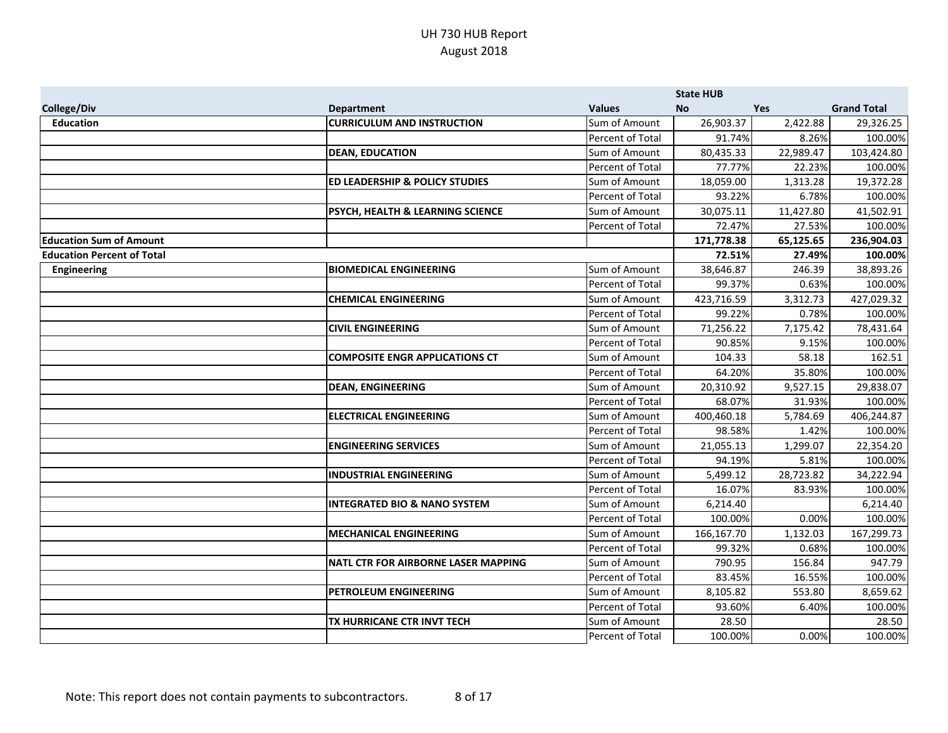|                                   |                                            |                  | <b>State HUB</b> |           |                    |
|-----------------------------------|--------------------------------------------|------------------|------------------|-----------|--------------------|
| <b>College/Div</b>                | <b>Department</b>                          | <b>Values</b>    | <b>No</b>        | Yes       | <b>Grand Total</b> |
| <b>Education</b>                  | <b>CURRICULUM AND INSTRUCTION</b>          | Sum of Amount    | 26,903.37        | 2,422.88  | 29,326.25          |
|                                   |                                            | Percent of Total | 91.74%           | 8.26%     | 100.00%            |
|                                   | <b>DEAN, EDUCATION</b>                     | Sum of Amount    | 80,435.33        | 22,989.47 | 103,424.80         |
|                                   |                                            | Percent of Total | 77.77%           | 22.23%    | 100.00%            |
|                                   | <b>ED LEADERSHIP &amp; POLICY STUDIES</b>  | Sum of Amount    | 18,059.00        | 1,313.28  | 19,372.28          |
|                                   |                                            | Percent of Total | 93.22%           | 6.78%     | 100.00%            |
|                                   | PSYCH, HEALTH & LEARNING SCIENCE           | Sum of Amount    | 30,075.11        | 11,427.80 | 41,502.91          |
|                                   |                                            | Percent of Total | 72.47%           | 27.53%    | 100.00%            |
| <b>Education Sum of Amount</b>    |                                            |                  | 171,778.38       | 65,125.65 | 236,904.03         |
| <b>Education Percent of Total</b> |                                            |                  | 72.51%           | 27.49%    | 100.00%            |
| <b>Engineering</b>                | <b>BIOMEDICAL ENGINEERING</b>              | Sum of Amount    | 38,646.87        | 246.39    | 38,893.26          |
|                                   |                                            | Percent of Total | 99.37%           | 0.63%     | 100.00%            |
|                                   | <b>CHEMICAL ENGINEERING</b>                | Sum of Amount    | 423,716.59       | 3,312.73  | 427,029.32         |
|                                   |                                            | Percent of Total | 99.22%           | 0.78%     | 100.00%            |
|                                   | <b>CIVIL ENGINEERING</b>                   | Sum of Amount    | 71,256.22        | 7,175.42  | 78,431.64          |
|                                   |                                            | Percent of Total | 90.85%           | 9.15%     | 100.00%            |
|                                   | <b>COMPOSITE ENGR APPLICATIONS CT</b>      | Sum of Amount    | 104.33           | 58.18     | 162.51             |
|                                   |                                            | Percent of Total | 64.20%           | 35.80%    | 100.00%            |
|                                   | <b>DEAN, ENGINEERING</b>                   | Sum of Amount    | 20,310.92        | 9,527.15  | 29,838.07          |
|                                   |                                            | Percent of Total | 68.07%           | 31.93%    | 100.00%            |
|                                   | <b>ELECTRICAL ENGINEERING</b>              | Sum of Amount    | 400,460.18       | 5,784.69  | 406,244.87         |
|                                   |                                            | Percent of Total | 98.58%           | 1.42%     | 100.00%            |
|                                   | <b>ENGINEERING SERVICES</b>                | Sum of Amount    | 21,055.13        | 1,299.07  | 22,354.20          |
|                                   |                                            | Percent of Total | 94.19%           | 5.81%     | 100.00%            |
|                                   | <b>INDUSTRIAL ENGINEERING</b>              | Sum of Amount    | 5,499.12         | 28,723.82 | 34,222.94          |
|                                   |                                            | Percent of Total | 16.07%           | 83.93%    | 100.00%            |
|                                   | <b>INTEGRATED BIO &amp; NANO SYSTEM</b>    | Sum of Amount    | 6,214.40         |           | 6,214.40           |
|                                   |                                            | Percent of Total | 100.00%          | 0.00%     | 100.00%            |
|                                   | <b>MECHANICAL ENGINEERING</b>              | Sum of Amount    | 166,167.70       | 1,132.03  | 167,299.73         |
|                                   |                                            | Percent of Total | 99.32%           | 0.68%     | 100.00%            |
|                                   | <b>NATL CTR FOR AIRBORNE LASER MAPPING</b> | Sum of Amount    | 790.95           | 156.84    | 947.79             |
|                                   |                                            | Percent of Total | 83.45%           | 16.55%    | 100.00%            |
|                                   | PETROLEUM ENGINEERING                      | Sum of Amount    | 8,105.82         | 553.80    | 8,659.62           |
|                                   |                                            | Percent of Total | 93.60%           | 6.40%     | 100.00%            |
|                                   | TX HURRICANE CTR INVT TECH                 | Sum of Amount    | 28.50            |           | 28.50              |
|                                   |                                            | Percent of Total | 100.00%          | 0.00%     | 100.00%            |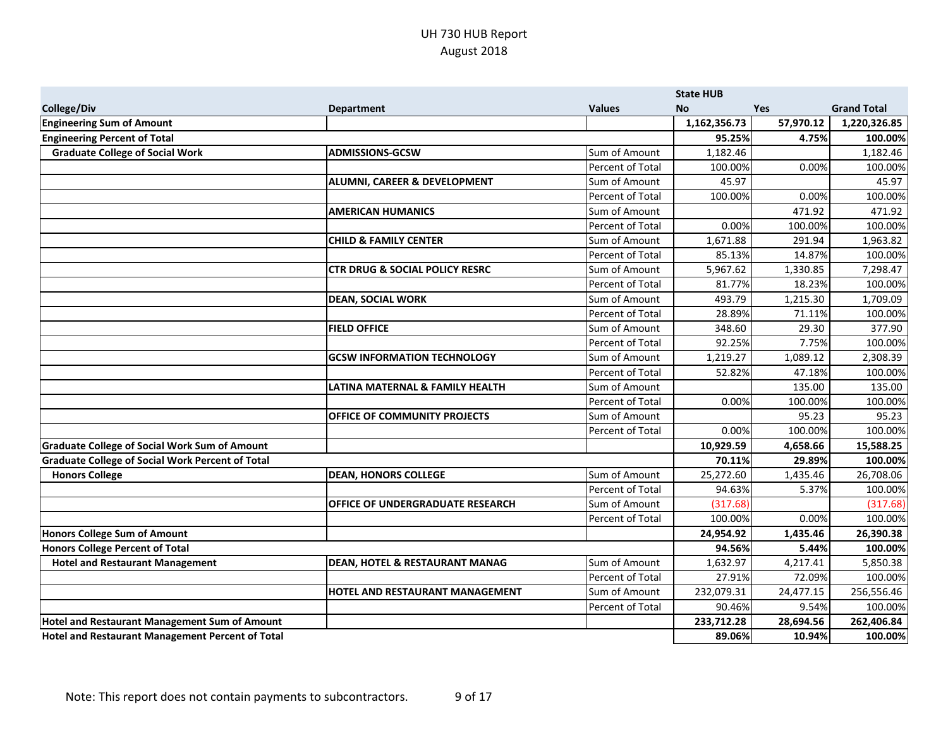|                                                         |                                           |                  | <b>State HUB</b> |            |                    |
|---------------------------------------------------------|-------------------------------------------|------------------|------------------|------------|--------------------|
| <b>College/Div</b>                                      | <b>Department</b>                         | <b>Values</b>    | <b>No</b>        | <b>Yes</b> | <b>Grand Total</b> |
| <b>Engineering Sum of Amount</b>                        |                                           |                  | 1,162,356.73     | 57,970.12  | 1,220,326.85       |
| <b>Engineering Percent of Total</b>                     |                                           |                  | 95.25%           | 4.75%      | 100.00%            |
| <b>Graduate College of Social Work</b>                  | <b>ADMISSIONS-GCSW</b>                    | Sum of Amount    | 1,182.46         |            | 1,182.46           |
|                                                         |                                           | Percent of Total | 100.00%          | 0.00%      | 100.00%            |
|                                                         | <b>ALUMNI, CAREER &amp; DEVELOPMENT</b>   | Sum of Amount    | 45.97            |            | 45.97              |
|                                                         |                                           | Percent of Total | 100.00%          | 0.00%      | 100.00%            |
|                                                         | <b>AMERICAN HUMANICS</b>                  | Sum of Amount    |                  | 471.92     | 471.92             |
|                                                         |                                           | Percent of Total | 0.00%            | 100.00%    | 100.00%            |
|                                                         | <b>CHILD &amp; FAMILY CENTER</b>          | Sum of Amount    | 1,671.88         | 291.94     | 1,963.82           |
|                                                         |                                           | Percent of Total | 85.13%           | 14.87%     | 100.00%            |
|                                                         | <b>CTR DRUG &amp; SOCIAL POLICY RESRC</b> | Sum of Amount    | 5,967.62         | 1,330.85   | 7,298.47           |
|                                                         |                                           | Percent of Total | 81.77%           | 18.23%     | 100.00%            |
|                                                         | <b>DEAN, SOCIAL WORK</b>                  | Sum of Amount    | 493.79           | 1,215.30   | 1,709.09           |
|                                                         |                                           | Percent of Total | 28.89%           | 71.11%     | 100.00%            |
|                                                         | <b>FIELD OFFICE</b>                       | Sum of Amount    | 348.60           | 29.30      | 377.90             |
|                                                         |                                           | Percent of Total | 92.25%           | 7.75%      | 100.00%            |
|                                                         | <b>GCSW INFORMATION TECHNOLOGY</b>        | Sum of Amount    | 1,219.27         | 1,089.12   | 2,308.39           |
|                                                         |                                           | Percent of Total | 52.82%           | 47.18%     | 100.00%            |
|                                                         | LATINA MATERNAL & FAMILY HEALTH           | Sum of Amount    |                  | 135.00     | 135.00             |
|                                                         |                                           | Percent of Total | 0.00%            | 100.00%    | 100.00%            |
|                                                         | OFFICE OF COMMUNITY PROJECTS              | Sum of Amount    |                  | 95.23      | 95.23              |
|                                                         |                                           | Percent of Total | 0.00%            | 100.00%    | 100.00%            |
| <b>Graduate College of Social Work Sum of Amount</b>    |                                           |                  | 10,929.59        | 4,658.66   | 15,588.25          |
| <b>Graduate College of Social Work Percent of Total</b> |                                           |                  | 70.11%           | 29.89%     | 100.00%            |
| <b>Honors College</b>                                   | <b>DEAN, HONORS COLLEGE</b>               | Sum of Amount    | 25,272.60        | 1,435.46   | 26,708.06          |
|                                                         |                                           | Percent of Total | 94.63%           | 5.37%      | 100.00%            |
|                                                         | <b>OFFICE OF UNDERGRADUATE RESEARCH</b>   | Sum of Amount    | (317.68)         |            | (317.68)           |
|                                                         |                                           | Percent of Total | 100.00%          | 0.00%      | 100.00%            |
| <b>Honors College Sum of Amount</b>                     |                                           |                  | 24,954.92        | 1,435.46   | 26,390.38          |
| <b>Honors College Percent of Total</b>                  |                                           |                  | 94.56%           | 5.44%      | 100.00%            |
| <b>Hotel and Restaurant Management</b>                  | <b>DEAN, HOTEL &amp; RESTAURANT MANAG</b> | Sum of Amount    | 1,632.97         | 4,217.41   | 5,850.38           |
|                                                         |                                           | Percent of Total | 27.91%           | 72.09%     | 100.00%            |
|                                                         | HOTEL AND RESTAURANT MANAGEMENT           | Sum of Amount    | 232,079.31       | 24,477.15  | 256,556.46         |
|                                                         |                                           | Percent of Total | 90.46%           | 9.54%      | 100.00%            |
| <b>Hotel and Restaurant Management Sum of Amount</b>    |                                           |                  | 233,712.28       | 28,694.56  | 262,406.84         |
| Hotel and Restaurant Management Percent of Total        |                                           |                  | 89.06%           | 10.94%     | 100.00%            |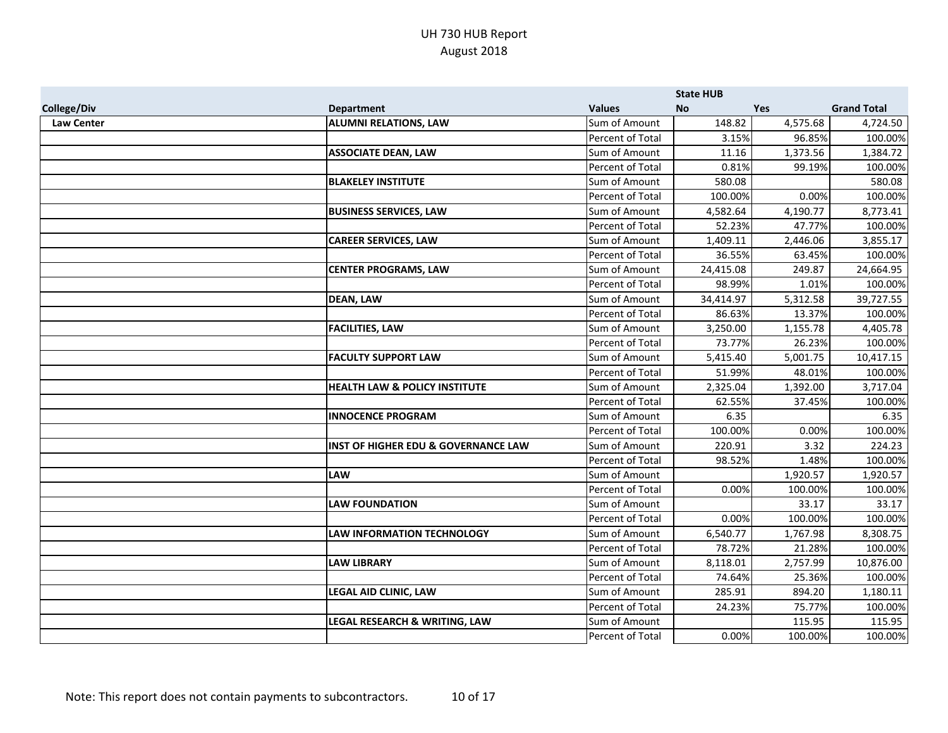|                    |                                                |                  | <b>State HUB</b> |            |                    |
|--------------------|------------------------------------------------|------------------|------------------|------------|--------------------|
| <b>College/Div</b> | <b>Department</b>                              | <b>Values</b>    | <b>No</b>        | <b>Yes</b> | <b>Grand Total</b> |
| <b>Law Center</b>  | <b>ALUMNI RELATIONS, LAW</b>                   | Sum of Amount    | 148.82           | 4,575.68   | 4,724.50           |
|                    |                                                | Percent of Total | 3.15%            | 96.85%     | 100.00%            |
|                    | <b>ASSOCIATE DEAN, LAW</b>                     | Sum of Amount    | 11.16            | 1,373.56   | 1,384.72           |
|                    |                                                | Percent of Total | 0.81%            | 99.19%     | 100.00%            |
|                    | <b>BLAKELEY INSTITUTE</b>                      | Sum of Amount    | 580.08           |            | 580.08             |
|                    |                                                | Percent of Total | 100.00%          | 0.00%      | 100.00%            |
|                    | <b>BUSINESS SERVICES, LAW</b>                  | Sum of Amount    | 4,582.64         | 4,190.77   | 8,773.41           |
|                    |                                                | Percent of Total | 52.23%           | 47.77%     | 100.00%            |
|                    | <b>CAREER SERVICES, LAW</b>                    | Sum of Amount    | 1,409.11         | 2,446.06   | 3,855.17           |
|                    |                                                | Percent of Total | 36.55%           | 63.45%     | 100.00%            |
|                    | <b>CENTER PROGRAMS, LAW</b>                    | Sum of Amount    | 24,415.08        | 249.87     | 24,664.95          |
|                    |                                                | Percent of Total | 98.99%           | 1.01%      | 100.00%            |
|                    | <b>DEAN, LAW</b>                               | Sum of Amount    | 34,414.97        | 5,312.58   | 39,727.55          |
|                    |                                                | Percent of Total | 86.63%           | 13.37%     | 100.00%            |
|                    | <b>FACILITIES, LAW</b>                         | Sum of Amount    | 3,250.00         | 1,155.78   | 4,405.78           |
|                    |                                                | Percent of Total | 73.77%           | 26.23%     | 100.00%            |
|                    | <b>FACULTY SUPPORT LAW</b>                     | Sum of Amount    | 5,415.40         | 5,001.75   | 10,417.15          |
|                    |                                                | Percent of Total | 51.99%           | 48.01%     | 100.00%            |
|                    | <b>HEALTH LAW &amp; POLICY INSTITUTE</b>       | Sum of Amount    | 2,325.04         | 1,392.00   | 3,717.04           |
|                    |                                                | Percent of Total | 62.55%           | 37.45%     | 100.00%            |
|                    | <b>INNOCENCE PROGRAM</b>                       | Sum of Amount    | 6.35             |            | 6.35               |
|                    |                                                | Percent of Total | 100.00%          | 0.00%      | 100.00%            |
|                    | <b>INST OF HIGHER EDU &amp; GOVERNANCE LAW</b> | Sum of Amount    | 220.91           | 3.32       | 224.23             |
|                    |                                                | Percent of Total | 98.52%           | 1.48%      | 100.00%            |
|                    | <b>LAW</b>                                     | Sum of Amount    |                  | 1,920.57   | 1,920.57           |
|                    |                                                | Percent of Total | 0.00%            | 100.00%    | 100.00%            |
|                    | <b>LAW FOUNDATION</b>                          | Sum of Amount    |                  | 33.17      | 33.17              |
|                    |                                                | Percent of Total | 0.00%            | 100.00%    | 100.00%            |
|                    | <b>LAW INFORMATION TECHNOLOGY</b>              | Sum of Amount    | 6,540.77         | 1,767.98   | 8,308.75           |
|                    |                                                | Percent of Total | 78.72%           | 21.28%     | 100.00%            |
|                    | <b>LAW LIBRARY</b>                             | Sum of Amount    | 8,118.01         | 2,757.99   | 10,876.00          |
|                    |                                                | Percent of Total | 74.64%           | 25.36%     | 100.00%            |
|                    | <b>LEGAL AID CLINIC, LAW</b>                   | Sum of Amount    | 285.91           | 894.20     | 1,180.11           |
|                    |                                                | Percent of Total | 24.23%           | 75.77%     | 100.00%            |
|                    | LEGAL RESEARCH & WRITING, LAW                  | Sum of Amount    |                  | 115.95     | 115.95             |
|                    |                                                | Percent of Total | 0.00%            | 100.00%    | 100.00%            |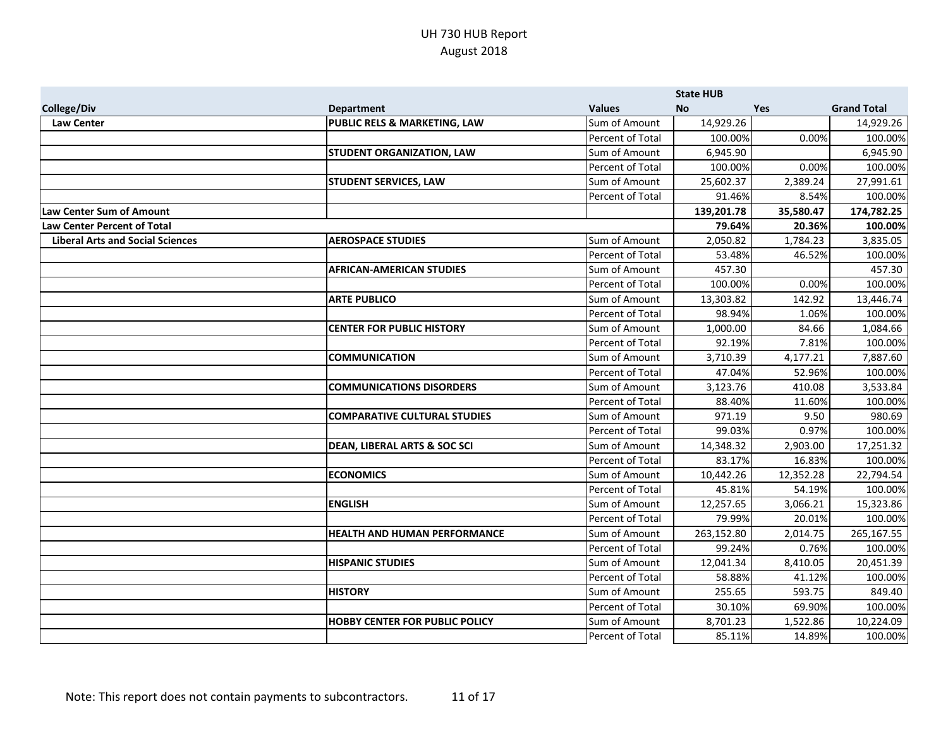|                                         |                                         |                  | <b>State HUB</b> |            |                    |
|-----------------------------------------|-----------------------------------------|------------------|------------------|------------|--------------------|
| <b>College/Div</b>                      | <b>Department</b>                       | <b>Values</b>    | <b>No</b>        | <b>Yes</b> | <b>Grand Total</b> |
| <b>Law Center</b>                       | PUBLIC RELS & MARKETING, LAW            | Sum of Amount    | 14,929.26        |            | 14,929.26          |
|                                         |                                         | Percent of Total | 100.00%          | 0.00%      | 100.00%            |
|                                         | <b>STUDENT ORGANIZATION, LAW</b>        | Sum of Amount    | 6,945.90         |            | 6,945.90           |
|                                         |                                         | Percent of Total | 100.00%          | 0.00%      | 100.00%            |
|                                         | <b>STUDENT SERVICES, LAW</b>            | Sum of Amount    | 25,602.37        | 2,389.24   | 27,991.61          |
|                                         |                                         | Percent of Total | 91.46%           | 8.54%      | 100.00%            |
| Law Center Sum of Amount                |                                         |                  | 139,201.78       | 35,580.47  | 174,782.25         |
| <b>Law Center Percent of Total</b>      |                                         |                  | 79.64%           | 20.36%     | 100.00%            |
| <b>Liberal Arts and Social Sciences</b> | <b>AEROSPACE STUDIES</b>                | Sum of Amount    | 2,050.82         | 1,784.23   | 3,835.05           |
|                                         |                                         | Percent of Total | 53.48%           | 46.52%     | 100.00%            |
|                                         | <b>AFRICAN-AMERICAN STUDIES</b>         | Sum of Amount    | 457.30           |            | 457.30             |
|                                         |                                         | Percent of Total | 100.00%          | 0.00%      | 100.00%            |
|                                         | <b>ARTE PUBLICO</b>                     | Sum of Amount    | 13,303.82        | 142.92     | 13,446.74          |
|                                         |                                         | Percent of Total | 98.94%           | 1.06%      | 100.00%            |
|                                         | <b>CENTER FOR PUBLIC HISTORY</b>        | Sum of Amount    | 1,000.00         | 84.66      | 1,084.66           |
|                                         |                                         | Percent of Total | 92.19%           | 7.81%      | 100.00%            |
|                                         | <b>COMMUNICATION</b>                    | Sum of Amount    | 3,710.39         | 4,177.21   | 7,887.60           |
|                                         |                                         | Percent of Total | 47.04%           | 52.96%     | 100.00%            |
|                                         | <b>COMMUNICATIONS DISORDERS</b>         | Sum of Amount    | 3,123.76         | 410.08     | 3,533.84           |
|                                         |                                         | Percent of Total | 88.40%           | 11.60%     | 100.00%            |
|                                         | <b>COMPARATIVE CULTURAL STUDIES</b>     | Sum of Amount    | 971.19           | 9.50       | 980.69             |
|                                         |                                         | Percent of Total | 99.03%           | 0.97%      | 100.00%            |
|                                         | <b>DEAN, LIBERAL ARTS &amp; SOC SCI</b> | Sum of Amount    | 14,348.32        | 2,903.00   | 17,251.32          |
|                                         |                                         | Percent of Total | 83.17%           | 16.83%     | 100.00%            |
|                                         | <b>ECONOMICS</b>                        | Sum of Amount    | 10,442.26        | 12,352.28  | 22,794.54          |
|                                         |                                         | Percent of Total | 45.81%           | 54.19%     | 100.00%            |
|                                         | <b>ENGLISH</b>                          | Sum of Amount    | 12,257.65        | 3,066.21   | 15,323.86          |
|                                         |                                         | Percent of Total | 79.99%           | 20.01%     | 100.00%            |
|                                         | <b>HEALTH AND HUMAN PERFORMANCE</b>     | Sum of Amount    | 263,152.80       | 2,014.75   | 265,167.55         |
|                                         |                                         | Percent of Total | 99.24%           | 0.76%      | 100.00%            |
|                                         | <b>HISPANIC STUDIES</b>                 | Sum of Amount    | 12,041.34        | 8,410.05   | 20,451.39          |
|                                         |                                         | Percent of Total | 58.88%           | 41.12%     | 100.00%            |
|                                         | <b>HISTORY</b>                          | Sum of Amount    | 255.65           | 593.75     | 849.40             |
|                                         |                                         | Percent of Total | 30.10%           | 69.90%     | 100.00%            |
|                                         | <b>HOBBY CENTER FOR PUBLIC POLICY</b>   | Sum of Amount    | 8,701.23         | 1,522.86   | 10,224.09          |
|                                         |                                         | Percent of Total | 85.11%           | 14.89%     | 100.00%            |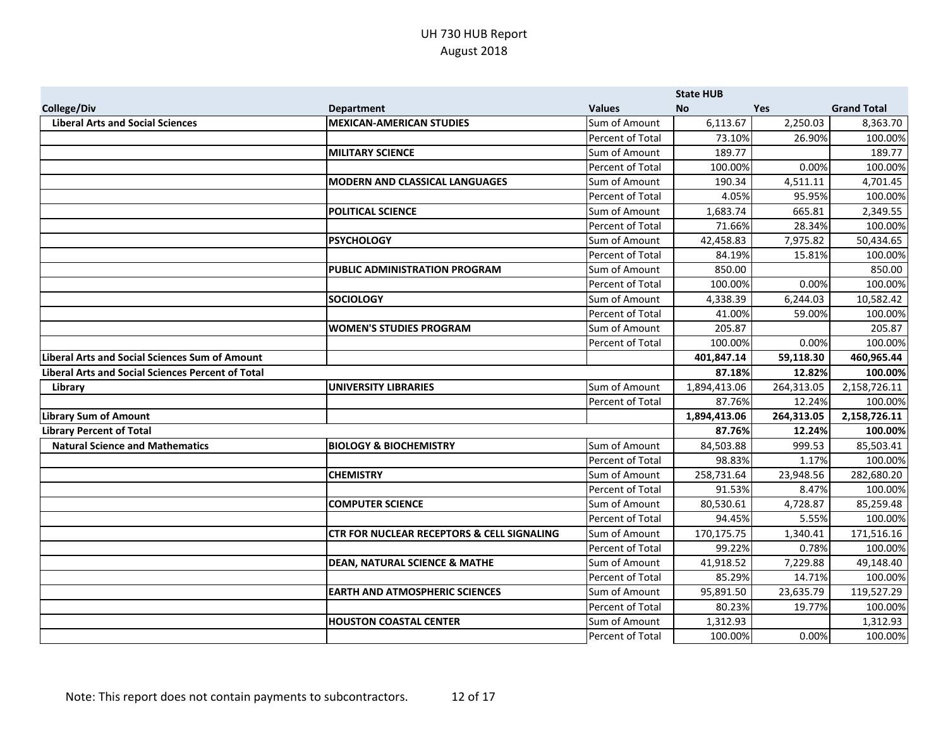|                                                          |                                                       |                  | <b>State HUB</b> |            |                    |
|----------------------------------------------------------|-------------------------------------------------------|------------------|------------------|------------|--------------------|
| <b>College/Div</b>                                       | <b>Department</b>                                     | <b>Values</b>    | <b>No</b>        | Yes        | <b>Grand Total</b> |
| <b>Liberal Arts and Social Sciences</b>                  | <b>MEXICAN-AMERICAN STUDIES</b>                       | Sum of Amount    | 6,113.67         | 2,250.03   | 8,363.70           |
|                                                          |                                                       | Percent of Total | 73.10%           | 26.90%     | 100.00%            |
|                                                          | <b>MILITARY SCIENCE</b>                               | Sum of Amount    | 189.77           |            | 189.77             |
|                                                          |                                                       | Percent of Total | 100.00%          | 0.00%      | 100.00%            |
|                                                          | <b>MODERN AND CLASSICAL LANGUAGES</b>                 | Sum of Amount    | 190.34           | 4,511.11   | 4,701.45           |
|                                                          |                                                       | Percent of Total | 4.05%            | 95.95%     | 100.00%            |
|                                                          | <b>POLITICAL SCIENCE</b>                              | Sum of Amount    | 1,683.74         | 665.81     | 2,349.55           |
|                                                          |                                                       | Percent of Total | 71.66%           | 28.34%     | 100.00%            |
|                                                          | <b>PSYCHOLOGY</b>                                     | Sum of Amount    | 42,458.83        | 7,975.82   | 50,434.65          |
|                                                          |                                                       | Percent of Total | 84.19%           | 15.81%     | 100.00%            |
|                                                          | PUBLIC ADMINISTRATION PROGRAM                         | Sum of Amount    | 850.00           |            | 850.00             |
|                                                          |                                                       | Percent of Total | 100.00%          | 0.00%      | 100.00%            |
|                                                          | <b>SOCIOLOGY</b>                                      | Sum of Amount    | 4,338.39         | 6,244.03   | 10,582.42          |
|                                                          |                                                       | Percent of Total | 41.00%           | 59.00%     | 100.00%            |
|                                                          | <b>WOMEN'S STUDIES PROGRAM</b>                        | Sum of Amount    | 205.87           |            | 205.87             |
|                                                          |                                                       | Percent of Total | 100.00%          | 0.00%      | 100.00%            |
| <b>Liberal Arts and Social Sciences Sum of Amount</b>    |                                                       |                  | 401,847.14       | 59,118.30  | 460,965.44         |
| <b>Liberal Arts and Social Sciences Percent of Total</b> |                                                       |                  | 87.18%           | 12.82%     | 100.00%            |
| Library                                                  | <b>UNIVERSITY LIBRARIES</b>                           | Sum of Amount    | 1,894,413.06     | 264,313.05 | 2,158,726.11       |
|                                                          |                                                       | Percent of Total | 87.76%           | 12.24%     | 100.00%            |
| <b>Library Sum of Amount</b>                             |                                                       |                  | 1,894,413.06     | 264,313.05 | 2,158,726.11       |
| <b>Library Percent of Total</b>                          |                                                       |                  | 87.76%           | 12.24%     | 100.00%            |
| <b>Natural Science and Mathematics</b>                   | <b>BIOLOGY &amp; BIOCHEMISTRY</b>                     | Sum of Amount    | 84,503.88        | 999.53     | 85,503.41          |
|                                                          |                                                       | Percent of Total | 98.83%           | 1.17%      | 100.00%            |
|                                                          | <b>CHEMISTRY</b>                                      | Sum of Amount    | 258,731.64       | 23,948.56  | 282,680.20         |
|                                                          |                                                       | Percent of Total | 91.53%           | 8.47%      | 100.00%            |
|                                                          | <b>COMPUTER SCIENCE</b>                               | Sum of Amount    | 80,530.61        | 4,728.87   | 85,259.48          |
|                                                          |                                                       | Percent of Total | 94.45%           | 5.55%      | 100.00%            |
|                                                          | <b>CTR FOR NUCLEAR RECEPTORS &amp; CELL SIGNALING</b> | Sum of Amount    | 170,175.75       | 1,340.41   | 171,516.16         |
|                                                          |                                                       | Percent of Total | 99.22%           | 0.78%      | 100.00%            |
|                                                          | <b>DEAN, NATURAL SCIENCE &amp; MATHE</b>              | Sum of Amount    | 41,918.52        | 7,229.88   | 49,148.40          |
|                                                          |                                                       | Percent of Total | 85.29%           | 14.71%     | 100.00%            |
|                                                          | <b>EARTH AND ATMOSPHERIC SCIENCES</b>                 | Sum of Amount    | 95,891.50        | 23,635.79  | 119,527.29         |
|                                                          |                                                       | Percent of Total | 80.23%           | 19.77%     | 100.00%            |
|                                                          | <b>HOUSTON COASTAL CENTER</b>                         | Sum of Amount    | 1,312.93         |            | 1,312.93           |
|                                                          |                                                       | Percent of Total | 100.00%          | 0.00%      | 100.00%            |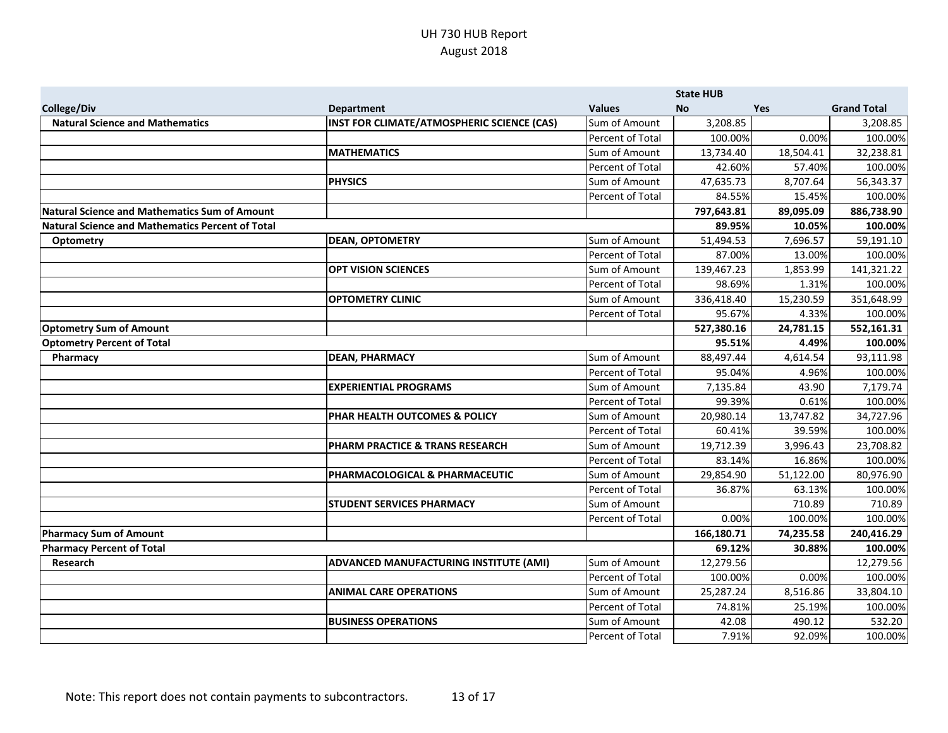|                                                         |                                               |                  | <b>State HUB</b> |            |                    |
|---------------------------------------------------------|-----------------------------------------------|------------------|------------------|------------|--------------------|
| <b>College/Div</b>                                      | <b>Department</b>                             | <b>Values</b>    | <b>No</b>        | <b>Yes</b> | <b>Grand Total</b> |
| <b>Natural Science and Mathematics</b>                  | INST FOR CLIMATE/ATMOSPHERIC SCIENCE (CAS)    | Sum of Amount    | 3,208.85         |            | 3,208.85           |
|                                                         |                                               | Percent of Total | 100.00%          | 0.00%      | 100.00%            |
|                                                         | <b>MATHEMATICS</b>                            | Sum of Amount    | 13,734.40        | 18,504.41  | 32,238.81          |
|                                                         |                                               | Percent of Total | 42.60%           | 57.40%     | 100.00%            |
|                                                         | <b>PHYSICS</b>                                | Sum of Amount    | 47,635.73        | 8,707.64   | 56,343.37          |
|                                                         |                                               | Percent of Total | 84.55%           | 15.45%     | 100.00%            |
| <b>Natural Science and Mathematics Sum of Amount</b>    |                                               |                  | 797,643.81       | 89,095.09  | 886,738.90         |
| <b>Natural Science and Mathematics Percent of Total</b> |                                               |                  | 89.95%           | 10.05%     | 100.00%            |
| <b>Optometry</b>                                        | <b>DEAN, OPTOMETRY</b>                        | Sum of Amount    | 51,494.53        | 7,696.57   | 59,191.10          |
|                                                         |                                               | Percent of Total | 87.00%           | 13.00%     | 100.00%            |
|                                                         | <b>OPT VISION SCIENCES</b>                    | Sum of Amount    | 139,467.23       | 1,853.99   | 141,321.22         |
|                                                         |                                               | Percent of Total | 98.69%           | 1.31%      | 100.00%            |
|                                                         | <b>OPTOMETRY CLINIC</b>                       | Sum of Amount    | 336,418.40       | 15,230.59  | 351,648.99         |
|                                                         |                                               | Percent of Total | 95.67%           | 4.33%      | 100.00%            |
| <b>Optometry Sum of Amount</b>                          |                                               |                  | 527,380.16       | 24,781.15  | 552,161.31         |
| <b>Optometry Percent of Total</b>                       |                                               |                  | 95.51%           | 4.49%      | 100.00%            |
| Pharmacy                                                | <b>DEAN, PHARMACY</b>                         | Sum of Amount    | 88,497.44        | 4,614.54   | 93,111.98          |
|                                                         |                                               | Percent of Total | 95.04%           | 4.96%      | 100.00%            |
|                                                         | <b>EXPERIENTIAL PROGRAMS</b>                  | Sum of Amount    | 7,135.84         | 43.90      | 7,179.74           |
|                                                         |                                               | Percent of Total | 99.39%           | 0.61%      | 100.00%            |
|                                                         | PHAR HEALTH OUTCOMES & POLICY                 | Sum of Amount    | 20,980.14        | 13,747.82  | 34,727.96          |
|                                                         |                                               | Percent of Total | 60.41%           | 39.59%     | 100.00%            |
|                                                         | PHARM PRACTICE & TRANS RESEARCH               | Sum of Amount    | 19,712.39        | 3,996.43   | 23,708.82          |
|                                                         |                                               | Percent of Total | 83.14%           | 16.86%     | 100.00%            |
|                                                         | PHARMACOLOGICAL & PHARMACEUTIC                | Sum of Amount    | 29,854.90        | 51,122.00  | 80,976.90          |
|                                                         |                                               | Percent of Total | 36.87%           | 63.13%     | 100.00%            |
|                                                         | <b>STUDENT SERVICES PHARMACY</b>              | Sum of Amount    |                  | 710.89     | 710.89             |
|                                                         |                                               | Percent of Total | 0.00%            | 100.00%    | 100.00%            |
| <b>Pharmacy Sum of Amount</b>                           |                                               |                  | 166,180.71       | 74,235.58  | 240,416.29         |
| <b>Pharmacy Percent of Total</b>                        |                                               |                  | 69.12%           | 30.88%     | 100.00%            |
| Research                                                | <b>ADVANCED MANUFACTURING INSTITUTE (AMI)</b> | Sum of Amount    | 12,279.56        |            | 12,279.56          |
|                                                         |                                               | Percent of Total | 100.00%          | 0.00%      | 100.00%            |
|                                                         | <b>ANIMAL CARE OPERATIONS</b>                 | Sum of Amount    | 25,287.24        | 8,516.86   | 33,804.10          |
|                                                         |                                               | Percent of Total | 74.81%           | 25.19%     | 100.00%            |
|                                                         | <b>BUSINESS OPERATIONS</b>                    | Sum of Amount    | 42.08            | 490.12     | 532.20             |
|                                                         |                                               | Percent of Total | 7.91%            | 92.09%     | 100.00%            |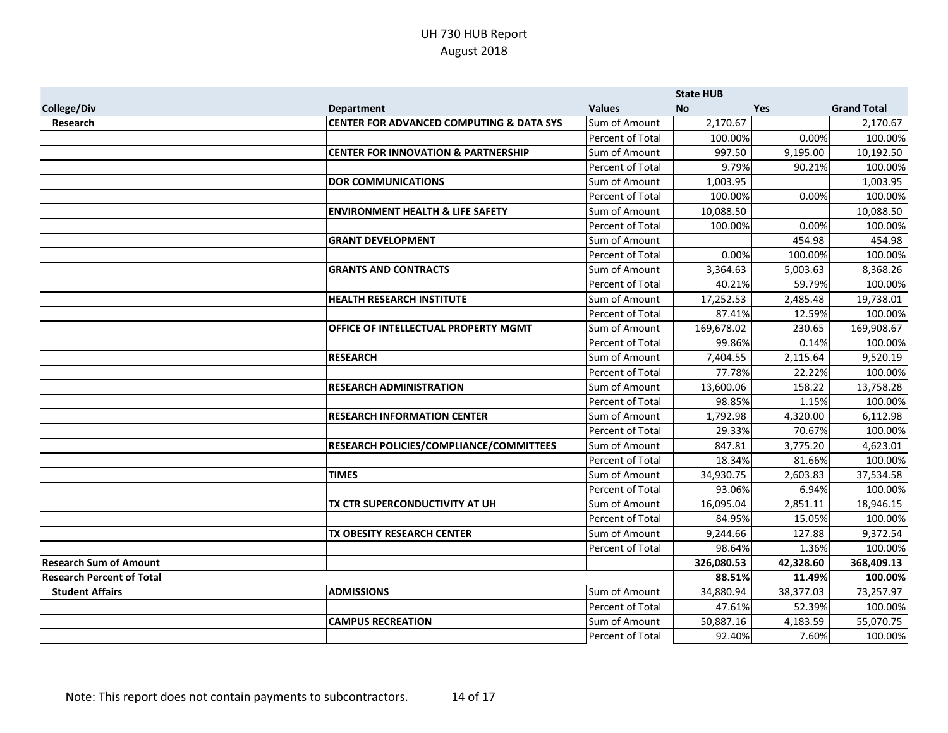|                                  |                                                     |                  | <b>State HUB</b> |           |                    |
|----------------------------------|-----------------------------------------------------|------------------|------------------|-----------|--------------------|
| <b>College/Div</b>               | <b>Department</b>                                   | <b>Values</b>    | <b>No</b>        | Yes       | <b>Grand Total</b> |
| Research                         | <b>CENTER FOR ADVANCED COMPUTING &amp; DATA SYS</b> | Sum of Amount    | 2,170.67         |           | 2,170.67           |
|                                  |                                                     | Percent of Total | 100.00%          | 0.00%     | 100.00%            |
|                                  | <b>CENTER FOR INNOVATION &amp; PARTNERSHIP</b>      | Sum of Amount    | 997.50           | 9,195.00  | 10,192.50          |
|                                  |                                                     | Percent of Total | 9.79%            | 90.21%    | 100.00%            |
|                                  | <b>DOR COMMUNICATIONS</b>                           | Sum of Amount    | 1,003.95         |           | 1,003.95           |
|                                  |                                                     | Percent of Total | 100.00%          | 0.00%     | 100.00%            |
|                                  | <b>ENVIRONMENT HEALTH &amp; LIFE SAFETY</b>         | Sum of Amount    | 10,088.50        |           | 10,088.50          |
|                                  |                                                     | Percent of Total | 100.00%          | 0.00%     | 100.00%            |
|                                  | <b>GRANT DEVELOPMENT</b>                            | Sum of Amount    |                  | 454.98    | 454.98             |
|                                  |                                                     | Percent of Total | 0.00%            | 100.00%   | 100.00%            |
|                                  | <b>GRANTS AND CONTRACTS</b>                         | Sum of Amount    | 3,364.63         | 5,003.63  | 8,368.26           |
|                                  |                                                     | Percent of Total | 40.21%           | 59.79%    | 100.00%            |
|                                  | <b>HEALTH RESEARCH INSTITUTE</b>                    | Sum of Amount    | 17,252.53        | 2,485.48  | 19,738.01          |
|                                  |                                                     | Percent of Total | 87.41%           | 12.59%    | 100.00%            |
|                                  | <b>OFFICE OF INTELLECTUAL PROPERTY MGMT</b>         | Sum of Amount    | 169,678.02       | 230.65    | 169,908.67         |
|                                  |                                                     | Percent of Total | 99.86%           | 0.14%     | 100.00%            |
|                                  | <b>RESEARCH</b>                                     | Sum of Amount    | 7,404.55         | 2,115.64  | 9,520.19           |
|                                  |                                                     | Percent of Total | 77.78%           | 22.22%    | 100.00%            |
|                                  | <b>RESEARCH ADMINISTRATION</b>                      | Sum of Amount    | 13,600.06        | 158.22    | 13,758.28          |
|                                  |                                                     | Percent of Total | 98.85%           | 1.15%     | 100.00%            |
|                                  | <b>RESEARCH INFORMATION CENTER</b>                  | Sum of Amount    | 1,792.98         | 4,320.00  | 6,112.98           |
|                                  |                                                     | Percent of Total | 29.33%           | 70.67%    | 100.00%            |
|                                  | RESEARCH POLICIES/COMPLIANCE/COMMITTEES             | Sum of Amount    | 847.81           | 3,775.20  | 4,623.01           |
|                                  |                                                     | Percent of Total | 18.34%           | 81.66%    | 100.00%            |
|                                  | <b>TIMES</b>                                        | Sum of Amount    | 34,930.75        | 2,603.83  | 37,534.58          |
|                                  |                                                     | Percent of Total | 93.06%           | 6.94%     | 100.00%            |
|                                  | TX CTR SUPERCONDUCTIVITY AT UH                      | Sum of Amount    | 16,095.04        | 2,851.11  | 18,946.15          |
|                                  |                                                     | Percent of Total | 84.95%           | 15.05%    | 100.00%            |
|                                  | <b>TX OBESITY RESEARCH CENTER</b>                   | Sum of Amount    | 9,244.66         | 127.88    | 9,372.54           |
|                                  |                                                     | Percent of Total | 98.64%           | 1.36%     | 100.00%            |
| <b>Research Sum of Amount</b>    |                                                     |                  | 326,080.53       | 42,328.60 | 368,409.13         |
| <b>Research Percent of Total</b> |                                                     |                  | 88.51%           | 11.49%    | 100.00%            |
| <b>Student Affairs</b>           | <b>ADMISSIONS</b>                                   | Sum of Amount    | 34,880.94        | 38,377.03 | 73,257.97          |
|                                  |                                                     | Percent of Total | 47.61%           | 52.39%    | 100.00%            |
|                                  | <b>CAMPUS RECREATION</b>                            | Sum of Amount    | 50,887.16        | 4,183.59  | 55,070.75          |
|                                  |                                                     | Percent of Total | 92.40%           | 7.60%     | 100.00%            |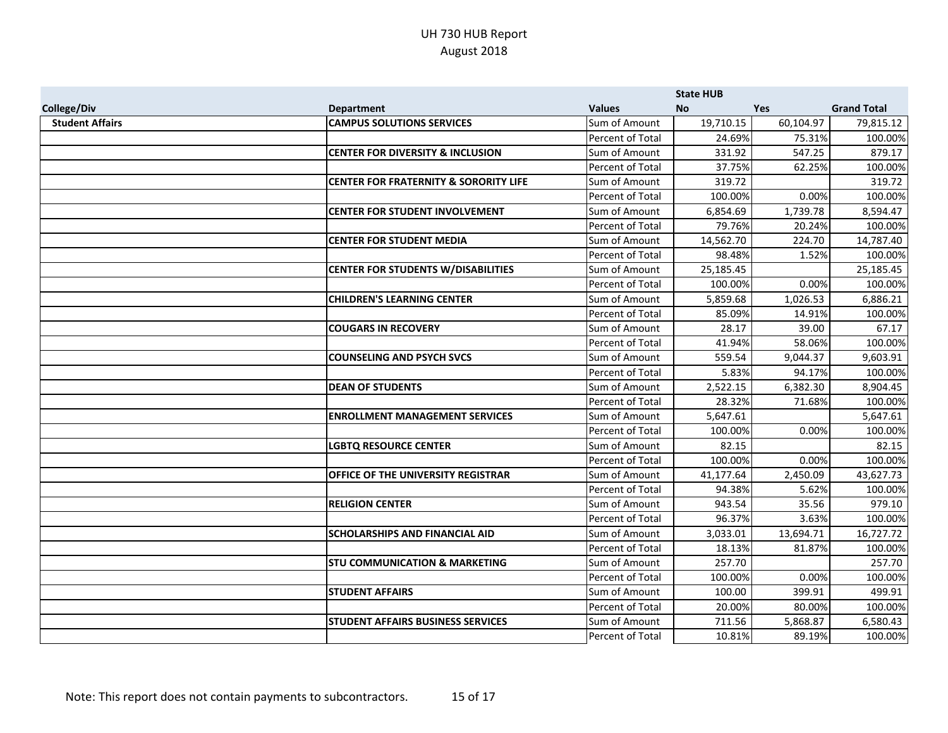|                        |                                                  |                  | <b>State HUB</b> |            |                    |
|------------------------|--------------------------------------------------|------------------|------------------|------------|--------------------|
| <b>College/Div</b>     | <b>Department</b>                                | <b>Values</b>    | <b>No</b>        | <b>Yes</b> | <b>Grand Total</b> |
| <b>Student Affairs</b> | <b>CAMPUS SOLUTIONS SERVICES</b>                 | Sum of Amount    | 19,710.15        | 60,104.97  | 79,815.12          |
|                        |                                                  | Percent of Total | 24.69%           | 75.31%     | 100.00%            |
|                        | <b>CENTER FOR DIVERSITY &amp; INCLUSION</b>      | Sum of Amount    | 331.92           | 547.25     | 879.17             |
|                        |                                                  | Percent of Total | 37.75%           | 62.25%     | 100.00%            |
|                        | <b>CENTER FOR FRATERNITY &amp; SORORITY LIFE</b> | Sum of Amount    | 319.72           |            | 319.72             |
|                        |                                                  | Percent of Total | 100.00%          | 0.00%      | 100.00%            |
|                        | <b>CENTER FOR STUDENT INVOLVEMENT</b>            | Sum of Amount    | 6,854.69         | 1,739.78   | 8,594.47           |
|                        |                                                  | Percent of Total | 79.76%           | 20.24%     | 100.00%            |
|                        | <b>CENTER FOR STUDENT MEDIA</b>                  | Sum of Amount    | 14,562.70        | 224.70     | 14,787.40          |
|                        |                                                  | Percent of Total | 98.48%           | 1.52%      | 100.00%            |
|                        | <b>CENTER FOR STUDENTS W/DISABILITIES</b>        | Sum of Amount    | 25,185.45        |            | 25,185.45          |
|                        |                                                  | Percent of Total | 100.00%          | 0.00%      | 100.00%            |
|                        | <b>CHILDREN'S LEARNING CENTER</b>                | Sum of Amount    | 5,859.68         | 1,026.53   | 6,886.21           |
|                        |                                                  | Percent of Total | 85.09%           | 14.91%     | 100.00%            |
|                        | <b>COUGARS IN RECOVERY</b>                       | Sum of Amount    | 28.17            | 39.00      | 67.17              |
|                        |                                                  | Percent of Total | 41.94%           | 58.06%     | 100.00%            |
|                        | <b>COUNSELING AND PSYCH SVCS</b>                 | Sum of Amount    | 559.54           | 9,044.37   | 9,603.91           |
|                        |                                                  | Percent of Total | 5.83%            | 94.17%     | 100.00%            |
|                        | <b>DEAN OF STUDENTS</b>                          | Sum of Amount    | 2,522.15         | 6,382.30   | 8,904.45           |
|                        |                                                  | Percent of Total | 28.32%           | 71.68%     | 100.00%            |
|                        | <b>ENROLLMENT MANAGEMENT SERVICES</b>            | Sum of Amount    | 5,647.61         |            | 5,647.61           |
|                        |                                                  | Percent of Total | 100.00%          | 0.00%      | 100.00%            |
|                        | <b>LGBTQ RESOURCE CENTER</b>                     | Sum of Amount    | 82.15            |            | 82.15              |
|                        |                                                  | Percent of Total | 100.00%          | 0.00%      | 100.00%            |
|                        | <b>OFFICE OF THE UNIVERSITY REGISTRAR</b>        | Sum of Amount    | 41,177.64        | 2,450.09   | 43,627.73          |
|                        |                                                  | Percent of Total | 94.38%           | 5.62%      | 100.00%            |
|                        | <b>RELIGION CENTER</b>                           | Sum of Amount    | 943.54           | 35.56      | 979.10             |
|                        |                                                  | Percent of Total | 96.37%           | 3.63%      | 100.00%            |
|                        | <b>SCHOLARSHIPS AND FINANCIAL AID</b>            | Sum of Amount    | 3,033.01         | 13,694.71  | 16,727.72          |
|                        |                                                  | Percent of Total | 18.13%           | 81.87%     | 100.00%            |
|                        | <b>STU COMMUNICATION &amp; MARKETING</b>         | Sum of Amount    | 257.70           |            | 257.70             |
|                        |                                                  | Percent of Total | 100.00%          | 0.00%      | 100.00%            |
|                        | <b>STUDENT AFFAIRS</b>                           | Sum of Amount    | 100.00           | 399.91     | 499.91             |
|                        |                                                  | Percent of Total | 20.00%           | 80.00%     | 100.00%            |
|                        | <b>STUDENT AFFAIRS BUSINESS SERVICES</b>         | Sum of Amount    | 711.56           | 5,868.87   | 6,580.43           |
|                        |                                                  | Percent of Total | 10.81%           | 89.19%     | 100.00%            |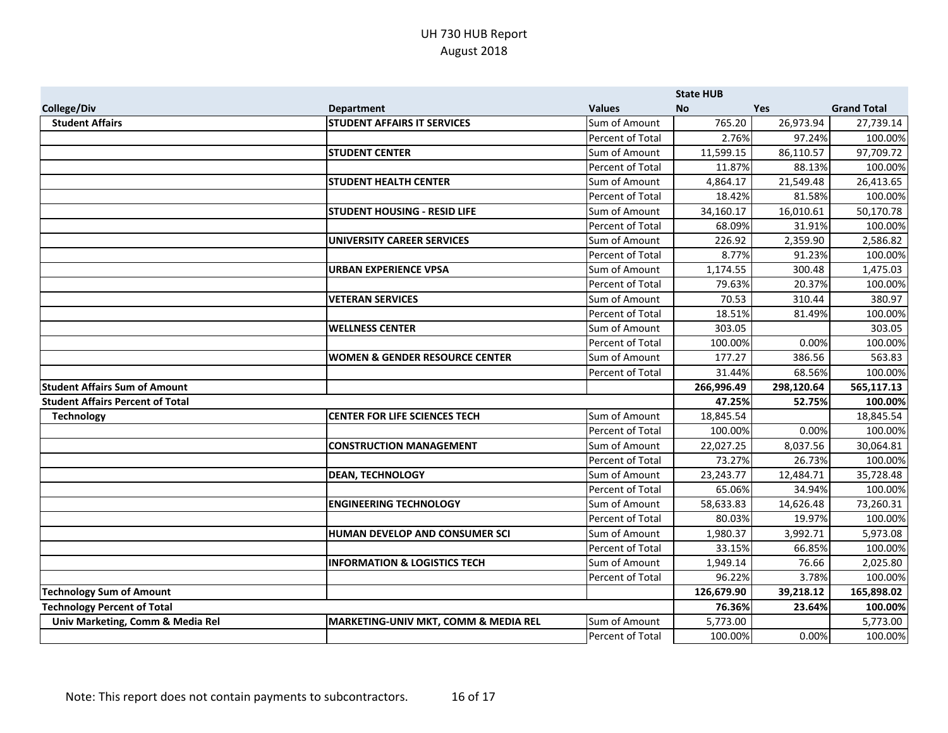|                                         |                                                 |                  | <b>State HUB</b> |            |                    |
|-----------------------------------------|-------------------------------------------------|------------------|------------------|------------|--------------------|
| <b>College/Div</b>                      | <b>Department</b>                               | <b>Values</b>    | <b>No</b>        | <b>Yes</b> | <b>Grand Total</b> |
| <b>Student Affairs</b>                  | <b>STUDENT AFFAIRS IT SERVICES</b>              | Sum of Amount    | 765.20           | 26,973.94  | 27,739.14          |
|                                         |                                                 | Percent of Total | 2.76%            | 97.24%     | 100.00%            |
|                                         | <b>STUDENT CENTER</b>                           | Sum of Amount    | 11,599.15        | 86,110.57  | 97,709.72          |
|                                         |                                                 | Percent of Total | 11.87%           | 88.13%     | 100.00%            |
|                                         | <b>STUDENT HEALTH CENTER</b>                    | Sum of Amount    | 4,864.17         | 21,549.48  | 26,413.65          |
|                                         |                                                 | Percent of Total | 18.42%           | 81.58%     | 100.00%            |
|                                         | <b>STUDENT HOUSING - RESID LIFE</b>             | Sum of Amount    | 34,160.17        | 16,010.61  | 50,170.78          |
|                                         |                                                 | Percent of Total | 68.09%           | 31.91%     | 100.00%            |
|                                         | UNIVERSITY CAREER SERVICES                      | Sum of Amount    | 226.92           | 2,359.90   | 2,586.82           |
|                                         |                                                 | Percent of Total | 8.77%            | 91.23%     | 100.00%            |
|                                         | <b>URBAN EXPERIENCE VPSA</b>                    | Sum of Amount    | 1,174.55         | 300.48     | 1,475.03           |
|                                         |                                                 | Percent of Total | 79.63%           | 20.37%     | 100.00%            |
|                                         | <b>VETERAN SERVICES</b>                         | Sum of Amount    | 70.53            | 310.44     | 380.97             |
|                                         |                                                 | Percent of Total | 18.51%           | 81.49%     | 100.00%            |
|                                         | <b>WELLNESS CENTER</b>                          | Sum of Amount    | 303.05           |            | 303.05             |
|                                         |                                                 | Percent of Total | 100.00%          | 0.00%      | 100.00%            |
|                                         | <b>WOMEN &amp; GENDER RESOURCE CENTER</b>       | Sum of Amount    | 177.27           | 386.56     | 563.83             |
|                                         |                                                 | Percent of Total | 31.44%           | 68.56%     | 100.00%            |
| <b>Student Affairs Sum of Amount</b>    |                                                 |                  | 266,996.49       | 298,120.64 | 565,117.13         |
| <b>Student Affairs Percent of Total</b> |                                                 |                  | 47.25%           | 52.75%     | 100.00%            |
| <b>Technology</b>                       | <b>CENTER FOR LIFE SCIENCES TECH</b>            | Sum of Amount    | 18,845.54        |            | 18,845.54          |
|                                         |                                                 | Percent of Total | 100.00%          | 0.00%      | 100.00%            |
|                                         | <b>CONSTRUCTION MANAGEMENT</b>                  | Sum of Amount    | 22,027.25        | 8,037.56   | 30,064.81          |
|                                         |                                                 | Percent of Total | 73.27%           | 26.73%     | 100.00%            |
|                                         | <b>DEAN, TECHNOLOGY</b>                         | Sum of Amount    | 23,243.77        | 12,484.71  | 35,728.48          |
|                                         |                                                 | Percent of Total | 65.06%           | 34.94%     | 100.00%            |
|                                         | <b>ENGINEERING TECHNOLOGY</b>                   | Sum of Amount    | 58,633.83        | 14,626.48  | 73,260.31          |
|                                         |                                                 | Percent of Total | 80.03%           | 19.97%     | 100.00%            |
|                                         | HUMAN DEVELOP AND CONSUMER SCI                  | Sum of Amount    | 1,980.37         | 3,992.71   | 5,973.08           |
|                                         |                                                 | Percent of Total | 33.15%           | 66.85%     | 100.00%            |
|                                         | <b>INFORMATION &amp; LOGISTICS TECH</b>         | Sum of Amount    | 1,949.14         | 76.66      | 2,025.80           |
|                                         |                                                 | Percent of Total | 96.22%           | 3.78%      | 100.00%            |
| <b>Technology Sum of Amount</b>         |                                                 |                  | 126,679.90       | 39,218.12  | 165,898.02         |
| <b>Technology Percent of Total</b>      |                                                 |                  | 76.36%           | 23.64%     | 100.00%            |
| Univ Marketing, Comm & Media Rel        | <b>MARKETING-UNIV MKT, COMM &amp; MEDIA REL</b> | Sum of Amount    | 5,773.00         |            | 5,773.00           |
|                                         |                                                 | Percent of Total | 100.00%          | 0.00%      | 100.00%            |